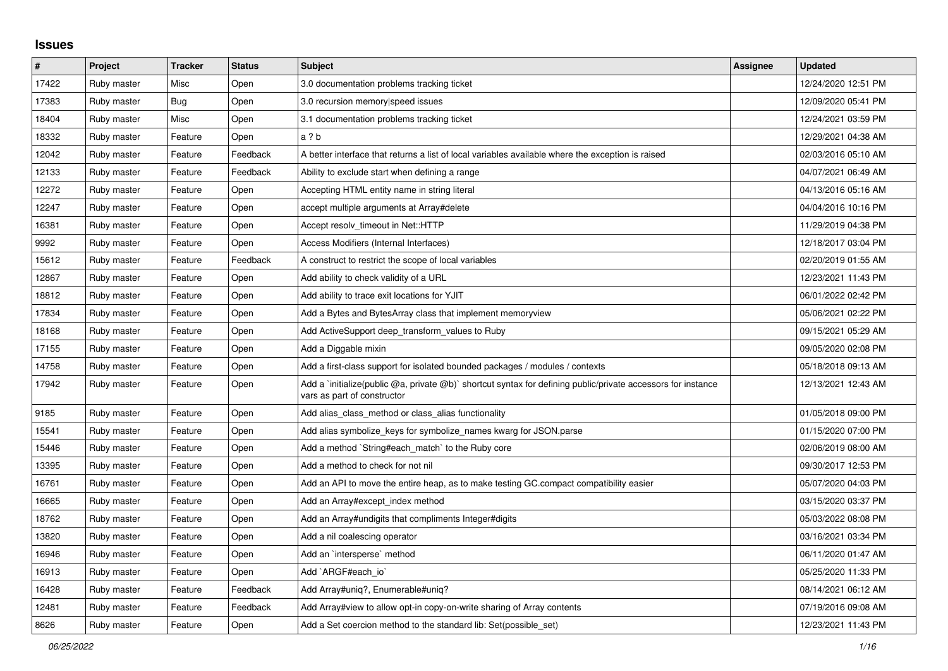## **Issues**

| $\pmb{\#}$ | Project     | <b>Tracker</b> | <b>Status</b> | <b>Subject</b>                                                                                                                              | <b>Assignee</b> | <b>Updated</b>      |
|------------|-------------|----------------|---------------|---------------------------------------------------------------------------------------------------------------------------------------------|-----------------|---------------------|
| 17422      | Ruby master | Misc           | Open          | 3.0 documentation problems tracking ticket                                                                                                  |                 | 12/24/2020 12:51 PM |
| 17383      | Ruby master | <b>Bug</b>     | Open          | 3.0 recursion memory speed issues                                                                                                           |                 | 12/09/2020 05:41 PM |
| 18404      | Ruby master | Misc           | Open          | 3.1 documentation problems tracking ticket                                                                                                  |                 | 12/24/2021 03:59 PM |
| 18332      | Ruby master | Feature        | Open          | a ? b                                                                                                                                       |                 | 12/29/2021 04:38 AM |
| 12042      | Ruby master | Feature        | Feedback      | A better interface that returns a list of local variables available where the exception is raised                                           |                 | 02/03/2016 05:10 AM |
| 12133      | Ruby master | Feature        | Feedback      | Ability to exclude start when defining a range                                                                                              |                 | 04/07/2021 06:49 AM |
| 12272      | Ruby master | Feature        | Open          | Accepting HTML entity name in string literal                                                                                                |                 | 04/13/2016 05:16 AM |
| 12247      | Ruby master | Feature        | Open          | accept multiple arguments at Array#delete                                                                                                   |                 | 04/04/2016 10:16 PM |
| 16381      | Ruby master | Feature        | Open          | Accept resolv timeout in Net::HTTP                                                                                                          |                 | 11/29/2019 04:38 PM |
| 9992       | Ruby master | Feature        | Open          | Access Modifiers (Internal Interfaces)                                                                                                      |                 | 12/18/2017 03:04 PM |
| 15612      | Ruby master | Feature        | Feedback      | A construct to restrict the scope of local variables                                                                                        |                 | 02/20/2019 01:55 AM |
| 12867      | Ruby master | Feature        | Open          | Add ability to check validity of a URL                                                                                                      |                 | 12/23/2021 11:43 PM |
| 18812      | Ruby master | Feature        | Open          | Add ability to trace exit locations for YJIT                                                                                                |                 | 06/01/2022 02:42 PM |
| 17834      | Ruby master | Feature        | Open          | Add a Bytes and BytesArray class that implement memoryview                                                                                  |                 | 05/06/2021 02:22 PM |
| 18168      | Ruby master | Feature        | Open          | Add ActiveSupport deep_transform_values to Ruby                                                                                             |                 | 09/15/2021 05:29 AM |
| 17155      | Ruby master | Feature        | Open          | Add a Diggable mixin                                                                                                                        |                 | 09/05/2020 02:08 PM |
| 14758      | Ruby master | Feature        | Open          | Add a first-class support for isolated bounded packages / modules / contexts                                                                |                 | 05/18/2018 09:13 AM |
| 17942      | Ruby master | Feature        | Open          | Add a 'initialize(public @a, private @b)' shortcut syntax for defining public/private accessors for instance<br>vars as part of constructor |                 | 12/13/2021 12:43 AM |
| 9185       | Ruby master | Feature        | Open          | Add alias_class_method or class_alias functionality                                                                                         |                 | 01/05/2018 09:00 PM |
| 15541      | Ruby master | Feature        | Open          | Add alias symbolize_keys for symbolize_names kwarg for JSON.parse                                                                           |                 | 01/15/2020 07:00 PM |
| 15446      | Ruby master | Feature        | Open          | Add a method `String#each_match` to the Ruby core                                                                                           |                 | 02/06/2019 08:00 AM |
| 13395      | Ruby master | Feature        | Open          | Add a method to check for not nil                                                                                                           |                 | 09/30/2017 12:53 PM |
| 16761      | Ruby master | Feature        | Open          | Add an API to move the entire heap, as to make testing GC compact compatibility easier                                                      |                 | 05/07/2020 04:03 PM |
| 16665      | Ruby master | Feature        | Open          | Add an Array#except_index method                                                                                                            |                 | 03/15/2020 03:37 PM |
| 18762      | Ruby master | Feature        | Open          | Add an Array#undigits that compliments Integer#digits                                                                                       |                 | 05/03/2022 08:08 PM |
| 13820      | Ruby master | Feature        | Open          | Add a nil coalescing operator                                                                                                               |                 | 03/16/2021 03:34 PM |
| 16946      | Ruby master | Feature        | Open          | Add an `intersperse` method                                                                                                                 |                 | 06/11/2020 01:47 AM |
| 16913      | Ruby master | Feature        | Open          | Add `ARGF#each io`                                                                                                                          |                 | 05/25/2020 11:33 PM |
| 16428      | Ruby master | Feature        | Feedback      | Add Array#uniq?, Enumerable#uniq?                                                                                                           |                 | 08/14/2021 06:12 AM |
| 12481      | Ruby master | Feature        | Feedback      | Add Array#view to allow opt-in copy-on-write sharing of Array contents                                                                      |                 | 07/19/2016 09:08 AM |
| 8626       | Ruby master | Feature        | Open          | Add a Set coercion method to the standard lib: Set (possible set)                                                                           |                 | 12/23/2021 11:43 PM |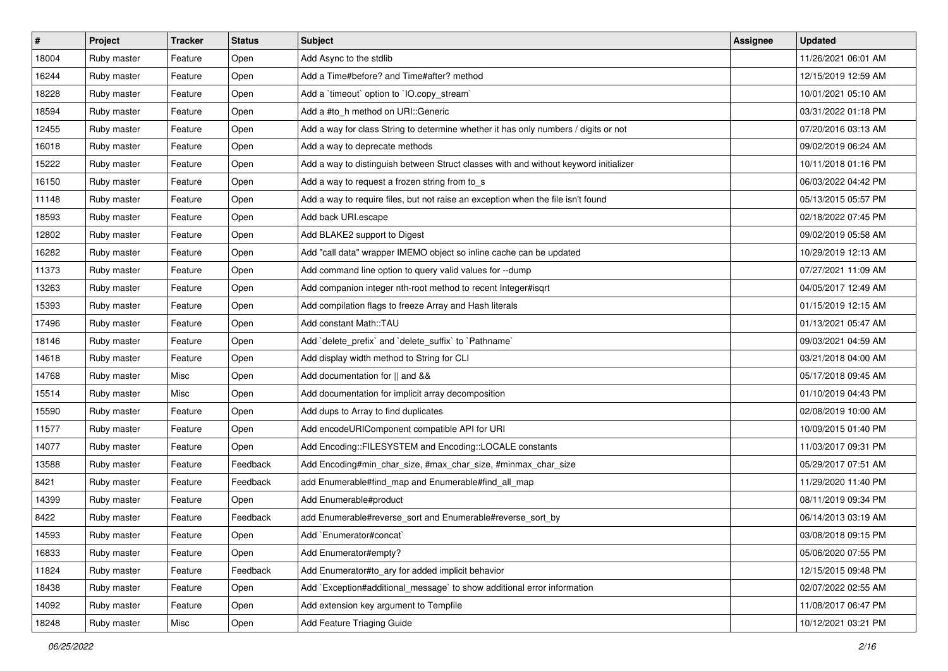| $\vert$ # | Project     | <b>Tracker</b> | <b>Status</b> | <b>Subject</b>                                                                       | Assignee | <b>Updated</b>      |
|-----------|-------------|----------------|---------------|--------------------------------------------------------------------------------------|----------|---------------------|
| 18004     | Ruby master | Feature        | Open          | Add Async to the stdlib                                                              |          | 11/26/2021 06:01 AM |
| 16244     | Ruby master | Feature        | Open          | Add a Time#before? and Time#after? method                                            |          | 12/15/2019 12:59 AM |
| 18228     | Ruby master | Feature        | Open          | Add a 'timeout' option to 'IO.copy_stream'                                           |          | 10/01/2021 05:10 AM |
| 18594     | Ruby master | Feature        | Open          | Add a #to_h method on URI::Generic                                                   |          | 03/31/2022 01:18 PM |
| 12455     | Ruby master | Feature        | Open          | Add a way for class String to determine whether it has only numbers / digits or not  |          | 07/20/2016 03:13 AM |
| 16018     | Ruby master | Feature        | Open          | Add a way to deprecate methods                                                       |          | 09/02/2019 06:24 AM |
| 15222     | Ruby master | Feature        | Open          | Add a way to distinguish between Struct classes with and without keyword initializer |          | 10/11/2018 01:16 PM |
| 16150     | Ruby master | Feature        | Open          | Add a way to request a frozen string from to_s                                       |          | 06/03/2022 04:42 PM |
| 11148     | Ruby master | Feature        | Open          | Add a way to require files, but not raise an exception when the file isn't found     |          | 05/13/2015 05:57 PM |
| 18593     | Ruby master | Feature        | Open          | Add back URI.escape                                                                  |          | 02/18/2022 07:45 PM |
| 12802     | Ruby master | Feature        | Open          | Add BLAKE2 support to Digest                                                         |          | 09/02/2019 05:58 AM |
| 16282     | Ruby master | Feature        | Open          | Add "call data" wrapper IMEMO object so inline cache can be updated                  |          | 10/29/2019 12:13 AM |
| 11373     | Ruby master | Feature        | Open          | Add command line option to query valid values for --dump                             |          | 07/27/2021 11:09 AM |
| 13263     | Ruby master | Feature        | Open          | Add companion integer nth-root method to recent Integer#isqrt                        |          | 04/05/2017 12:49 AM |
| 15393     | Ruby master | Feature        | Open          | Add compilation flags to freeze Array and Hash literals                              |          | 01/15/2019 12:15 AM |
| 17496     | Ruby master | Feature        | Open          | Add constant Math::TAU                                                               |          | 01/13/2021 05:47 AM |
| 18146     | Ruby master | Feature        | Open          | Add 'delete_prefix' and 'delete_suffix' to 'Pathname'                                |          | 09/03/2021 04:59 AM |
| 14618     | Ruby master | Feature        | Open          | Add display width method to String for CLI                                           |          | 03/21/2018 04:00 AM |
| 14768     | Ruby master | Misc           | Open          | Add documentation for    and &&                                                      |          | 05/17/2018 09:45 AM |
| 15514     | Ruby master | Misc           | Open          | Add documentation for implicit array decomposition                                   |          | 01/10/2019 04:43 PM |
| 15590     | Ruby master | Feature        | Open          | Add dups to Array to find duplicates                                                 |          | 02/08/2019 10:00 AM |
| 11577     | Ruby master | Feature        | Open          | Add encodeURIComponent compatible API for URI                                        |          | 10/09/2015 01:40 PM |
| 14077     | Ruby master | Feature        | Open          | Add Encoding::FILESYSTEM and Encoding::LOCALE constants                              |          | 11/03/2017 09:31 PM |
| 13588     | Ruby master | Feature        | Feedback      | Add Encoding#min_char_size, #max_char_size, #minmax_char_size                        |          | 05/29/2017 07:51 AM |
| 8421      | Ruby master | Feature        | Feedback      | add Enumerable#find_map and Enumerable#find_all_map                                  |          | 11/29/2020 11:40 PM |
| 14399     | Ruby master | Feature        | Open          | Add Enumerable#product                                                               |          | 08/11/2019 09:34 PM |
| 8422      | Ruby master | Feature        | Feedback      | add Enumerable#reverse_sort and Enumerable#reverse_sort_by                           |          | 06/14/2013 03:19 AM |
| 14593     | Ruby master | Feature        | Open          | Add `Enumerator#concat`                                                              |          | 03/08/2018 09:15 PM |
| 16833     | Ruby master | Feature        | Open          | Add Enumerator#empty?                                                                |          | 05/06/2020 07:55 PM |
| 11824     | Ruby master | Feature        | Feedback      | Add Enumerator#to_ary for added implicit behavior                                    |          | 12/15/2015 09:48 PM |
| 18438     | Ruby master | Feature        | Open          | Add `Exception#additional_message` to show additional error information              |          | 02/07/2022 02:55 AM |
| 14092     | Ruby master | Feature        | Open          | Add extension key argument to Tempfile                                               |          | 11/08/2017 06:47 PM |
| 18248     | Ruby master | Misc           | Open          | Add Feature Triaging Guide                                                           |          | 10/12/2021 03:21 PM |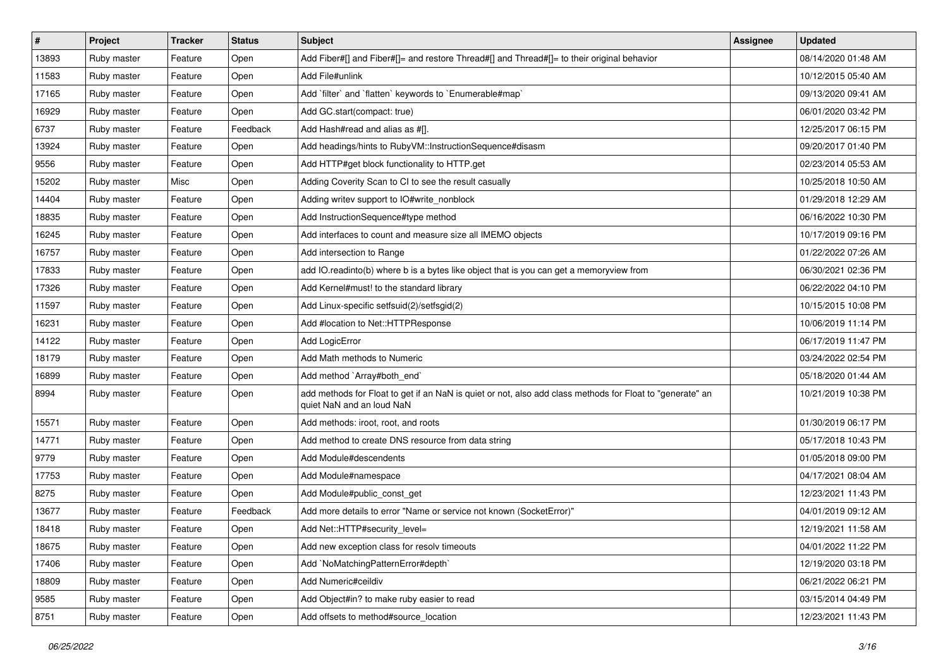| $\vert$ # | Project     | <b>Tracker</b> | <b>Status</b> | <b>Subject</b>                                                                                                                         | Assignee | <b>Updated</b>      |
|-----------|-------------|----------------|---------------|----------------------------------------------------------------------------------------------------------------------------------------|----------|---------------------|
| 13893     | Ruby master | Feature        | Open          | Add Fiber#[] and Fiber#[]= and restore Thread#[] and Thread#[]= to their original behavior                                             |          | 08/14/2020 01:48 AM |
| 11583     | Ruby master | Feature        | Open          | Add File#unlink                                                                                                                        |          | 10/12/2015 05:40 AM |
| 17165     | Ruby master | Feature        | Open          | Add `filter` and `flatten` keywords to `Enumerable#map`                                                                                |          | 09/13/2020 09:41 AM |
| 16929     | Ruby master | Feature        | Open          | Add GC.start(compact: true)                                                                                                            |          | 06/01/2020 03:42 PM |
| 6737      | Ruby master | Feature        | Feedback      | Add Hash#read and alias as #[].                                                                                                        |          | 12/25/2017 06:15 PM |
| 13924     | Ruby master | Feature        | Open          | Add headings/hints to RubyVM::InstructionSequence#disasm                                                                               |          | 09/20/2017 01:40 PM |
| 9556      | Ruby master | Feature        | Open          | Add HTTP#get block functionality to HTTP.get                                                                                           |          | 02/23/2014 05:53 AM |
| 15202     | Ruby master | Misc           | Open          | Adding Coverity Scan to CI to see the result casually                                                                                  |          | 10/25/2018 10:50 AM |
| 14404     | Ruby master | Feature        | Open          | Adding writev support to IO#write_nonblock                                                                                             |          | 01/29/2018 12:29 AM |
| 18835     | Ruby master | Feature        | Open          | Add InstructionSequence#type method                                                                                                    |          | 06/16/2022 10:30 PM |
| 16245     | Ruby master | Feature        | Open          | Add interfaces to count and measure size all IMEMO objects                                                                             |          | 10/17/2019 09:16 PM |
| 16757     | Ruby master | Feature        | Open          | Add intersection to Range                                                                                                              |          | 01/22/2022 07:26 AM |
| 17833     | Ruby master | Feature        | Open          | add IO.readinto(b) where b is a bytes like object that is you can get a memoryview from                                                |          | 06/30/2021 02:36 PM |
| 17326     | Ruby master | Feature        | Open          | Add Kernel#must! to the standard library                                                                                               |          | 06/22/2022 04:10 PM |
| 11597     | Ruby master | Feature        | Open          | Add Linux-specific setfsuid(2)/setfsgid(2)                                                                                             |          | 10/15/2015 10:08 PM |
| 16231     | Ruby master | Feature        | Open          | Add #location to Net::HTTPResponse                                                                                                     |          | 10/06/2019 11:14 PM |
| 14122     | Ruby master | Feature        | Open          | Add LogicError                                                                                                                         |          | 06/17/2019 11:47 PM |
| 18179     | Ruby master | Feature        | Open          | Add Math methods to Numeric                                                                                                            |          | 03/24/2022 02:54 PM |
| 16899     | Ruby master | Feature        | Open          | Add method `Array#both_end`                                                                                                            |          | 05/18/2020 01:44 AM |
| 8994      | Ruby master | Feature        | Open          | add methods for Float to get if an NaN is quiet or not, also add class methods for Float to "generate" an<br>quiet NaN and an loud NaN |          | 10/21/2019 10:38 PM |
| 15571     | Ruby master | Feature        | Open          | Add methods: iroot, root, and roots                                                                                                    |          | 01/30/2019 06:17 PM |
| 14771     | Ruby master | Feature        | Open          | Add method to create DNS resource from data string                                                                                     |          | 05/17/2018 10:43 PM |
| 9779      | Ruby master | Feature        | Open          | Add Module#descendents                                                                                                                 |          | 01/05/2018 09:00 PM |
| 17753     | Ruby master | Feature        | Open          | Add Module#namespace                                                                                                                   |          | 04/17/2021 08:04 AM |
| 8275      | Ruby master | Feature        | Open          | Add Module#public_const_get                                                                                                            |          | 12/23/2021 11:43 PM |
| 13677     | Ruby master | Feature        | Feedback      | Add more details to error "Name or service not known (SocketError)"                                                                    |          | 04/01/2019 09:12 AM |
| 18418     | Ruby master | Feature        | Open          | Add Net::HTTP#security level=                                                                                                          |          | 12/19/2021 11:58 AM |
| 18675     | Ruby master | Feature        | Open          | Add new exception class for resolv timeouts                                                                                            |          | 04/01/2022 11:22 PM |
| 17406     | Ruby master | Feature        | Open          | Add `NoMatchingPatternError#depth`                                                                                                     |          | 12/19/2020 03:18 PM |
| 18809     | Ruby master | Feature        | Open          | Add Numeric#ceildiv                                                                                                                    |          | 06/21/2022 06:21 PM |
| 9585      | Ruby master | Feature        | Open          | Add Object#in? to make ruby easier to read                                                                                             |          | 03/15/2014 04:49 PM |
| 8751      | Ruby master | Feature        | Open          | Add offsets to method#source_location                                                                                                  |          | 12/23/2021 11:43 PM |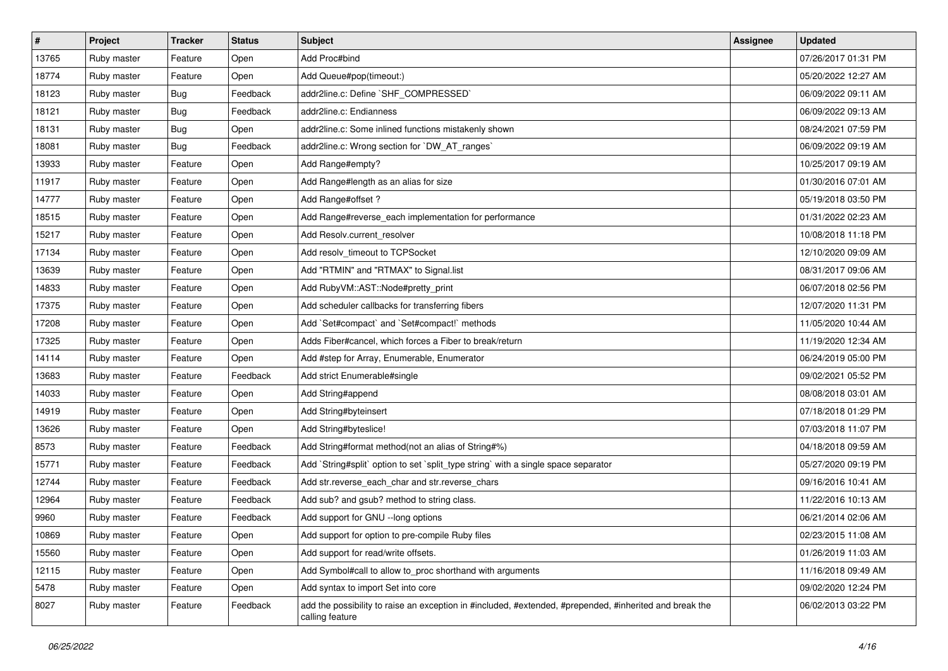| $\sharp$ | Project     | <b>Tracker</b> | <b>Status</b> | <b>Subject</b>                                                                                                             | <b>Assignee</b> | <b>Updated</b>      |
|----------|-------------|----------------|---------------|----------------------------------------------------------------------------------------------------------------------------|-----------------|---------------------|
| 13765    | Ruby master | Feature        | Open          | Add Proc#bind                                                                                                              |                 | 07/26/2017 01:31 PM |
| 18774    | Ruby master | Feature        | Open          | Add Queue#pop(timeout:)                                                                                                    |                 | 05/20/2022 12:27 AM |
| 18123    | Ruby master | <b>Bug</b>     | Feedback      | addr2line.c: Define `SHF COMPRESSED`                                                                                       |                 | 06/09/2022 09:11 AM |
| 18121    | Ruby master | <b>Bug</b>     | Feedback      | addr2line.c: Endianness                                                                                                    |                 | 06/09/2022 09:13 AM |
| 18131    | Ruby master | <b>Bug</b>     | Open          | addr2line.c: Some inlined functions mistakenly shown                                                                       |                 | 08/24/2021 07:59 PM |
| 18081    | Ruby master | Bug            | Feedback      | addr2line.c: Wrong section for `DW_AT_ranges`                                                                              |                 | 06/09/2022 09:19 AM |
| 13933    | Ruby master | Feature        | Open          | Add Range#empty?                                                                                                           |                 | 10/25/2017 09:19 AM |
| 11917    | Ruby master | Feature        | Open          | Add Range#length as an alias for size                                                                                      |                 | 01/30/2016 07:01 AM |
| 14777    | Ruby master | Feature        | Open          | Add Range#offset?                                                                                                          |                 | 05/19/2018 03:50 PM |
| 18515    | Ruby master | Feature        | Open          | Add Range#reverse_each implementation for performance                                                                      |                 | 01/31/2022 02:23 AM |
| 15217    | Ruby master | Feature        | Open          | Add Resolv.current resolver                                                                                                |                 | 10/08/2018 11:18 PM |
| 17134    | Ruby master | Feature        | Open          | Add resolv_timeout to TCPSocket                                                                                            |                 | 12/10/2020 09:09 AM |
| 13639    | Ruby master | Feature        | Open          | Add "RTMIN" and "RTMAX" to Signal.list                                                                                     |                 | 08/31/2017 09:06 AM |
| 14833    | Ruby master | Feature        | Open          | Add RubyVM::AST::Node#pretty_print                                                                                         |                 | 06/07/2018 02:56 PM |
| 17375    | Ruby master | Feature        | Open          | Add scheduler callbacks for transferring fibers                                                                            |                 | 12/07/2020 11:31 PM |
| 17208    | Ruby master | Feature        | Open          | Add `Set#compact` and `Set#compact!` methods                                                                               |                 | 11/05/2020 10:44 AM |
| 17325    | Ruby master | Feature        | Open          | Adds Fiber#cancel, which forces a Fiber to break/return                                                                    |                 | 11/19/2020 12:34 AM |
| 14114    | Ruby master | Feature        | Open          | Add #step for Array, Enumerable, Enumerator                                                                                |                 | 06/24/2019 05:00 PM |
| 13683    | Ruby master | Feature        | Feedback      | Add strict Enumerable#single                                                                                               |                 | 09/02/2021 05:52 PM |
| 14033    | Ruby master | Feature        | Open          | Add String#append                                                                                                          |                 | 08/08/2018 03:01 AM |
| 14919    | Ruby master | Feature        | Open          | Add String#byteinsert                                                                                                      |                 | 07/18/2018 01:29 PM |
| 13626    | Ruby master | Feature        | Open          | Add String#byteslice!                                                                                                      |                 | 07/03/2018 11:07 PM |
| 8573     | Ruby master | Feature        | Feedback      | Add String#format method(not an alias of String#%)                                                                         |                 | 04/18/2018 09:59 AM |
| 15771    | Ruby master | Feature        | Feedback      | Add `String#split` option to set `split_type string` with a single space separator                                         |                 | 05/27/2020 09:19 PM |
| 12744    | Ruby master | Feature        | Feedback      | Add str.reverse_each_char and str.reverse_chars                                                                            |                 | 09/16/2016 10:41 AM |
| 12964    | Ruby master | Feature        | Feedback      | Add sub? and gsub? method to string class.                                                                                 |                 | 11/22/2016 10:13 AM |
| 9960     | Ruby master | Feature        | Feedback      | Add support for GNU --long options                                                                                         |                 | 06/21/2014 02:06 AM |
| 10869    | Ruby master | Feature        | Open          | Add support for option to pre-compile Ruby files                                                                           |                 | 02/23/2015 11:08 AM |
| 15560    | Ruby master | Feature        | Open          | Add support for read/write offsets.                                                                                        |                 | 01/26/2019 11:03 AM |
| 12115    | Ruby master | Feature        | Open          | Add Symbol#call to allow to_proc shorthand with arguments                                                                  |                 | 11/16/2018 09:49 AM |
| 5478     | Ruby master | Feature        | Open          | Add syntax to import Set into core                                                                                         |                 | 09/02/2020 12:24 PM |
| 8027     | Ruby master | Feature        | Feedback      | add the possibility to raise an exception in #included, #extended, #prepended, #inherited and break the<br>calling feature |                 | 06/02/2013 03:22 PM |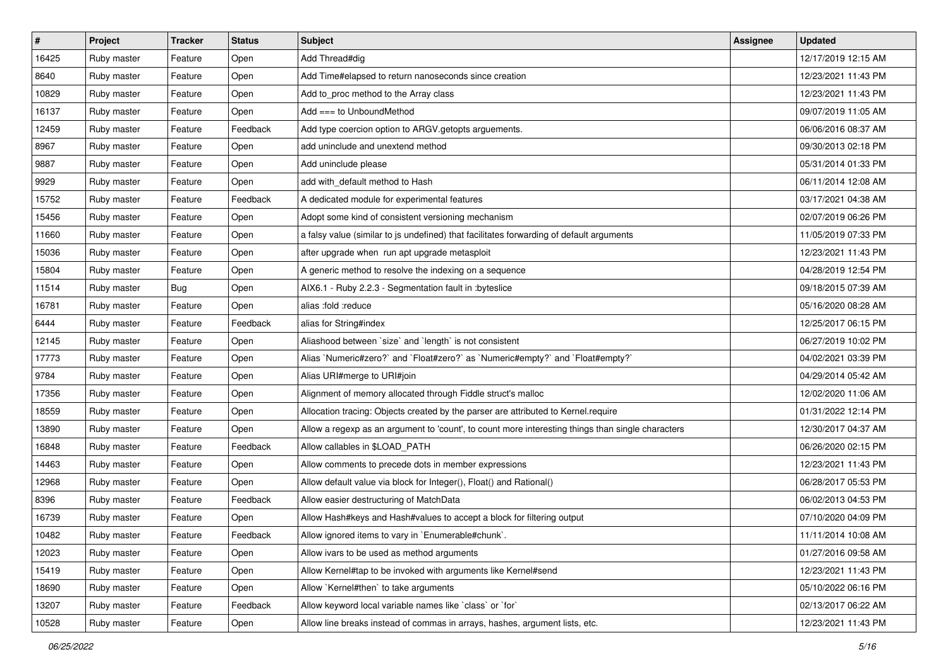| #     | Project     | <b>Tracker</b> | <b>Status</b> | <b>Subject</b>                                                                                    | <b>Assignee</b> | <b>Updated</b>      |
|-------|-------------|----------------|---------------|---------------------------------------------------------------------------------------------------|-----------------|---------------------|
| 16425 | Ruby master | Feature        | Open          | Add Thread#dig                                                                                    |                 | 12/17/2019 12:15 AM |
| 8640  | Ruby master | Feature        | Open          | Add Time#elapsed to return nanoseconds since creation                                             |                 | 12/23/2021 11:43 PM |
| 10829 | Ruby master | Feature        | Open          | Add to_proc method to the Array class                                                             |                 | 12/23/2021 11:43 PM |
| 16137 | Ruby master | Feature        | Open          | Add $==$ to UnboundMethod                                                                         |                 | 09/07/2019 11:05 AM |
| 12459 | Ruby master | Feature        | Feedback      | Add type coercion option to ARGV getopts arguements.                                              |                 | 06/06/2016 08:37 AM |
| 8967  | Ruby master | Feature        | Open          | add uninclude and unextend method                                                                 |                 | 09/30/2013 02:18 PM |
| 9887  | Ruby master | Feature        | Open          | Add uninclude please                                                                              |                 | 05/31/2014 01:33 PM |
| 9929  | Ruby master | Feature        | Open          | add with default method to Hash                                                                   |                 | 06/11/2014 12:08 AM |
| 15752 | Ruby master | Feature        | Feedback      | A dedicated module for experimental features                                                      |                 | 03/17/2021 04:38 AM |
| 15456 | Ruby master | Feature        | Open          | Adopt some kind of consistent versioning mechanism                                                |                 | 02/07/2019 06:26 PM |
| 11660 | Ruby master | Feature        | Open          | a falsy value (similar to js undefined) that facilitates forwarding of default arguments          |                 | 11/05/2019 07:33 PM |
| 15036 | Ruby master | Feature        | Open          | after upgrade when run apt upgrade metasploit                                                     |                 | 12/23/2021 11:43 PM |
| 15804 | Ruby master | Feature        | Open          | A generic method to resolve the indexing on a sequence                                            |                 | 04/28/2019 12:54 PM |
| 11514 | Ruby master | Bug            | Open          | AIX6.1 - Ruby 2.2.3 - Segmentation fault in :byteslice                                            |                 | 09/18/2015 07:39 AM |
| 16781 | Ruby master | Feature        | Open          | alias :fold :reduce                                                                               |                 | 05/16/2020 08:28 AM |
| 6444  | Ruby master | Feature        | Feedback      | alias for String#index                                                                            |                 | 12/25/2017 06:15 PM |
| 12145 | Ruby master | Feature        | Open          | Aliashood between 'size' and 'length' is not consistent                                           |                 | 06/27/2019 10:02 PM |
| 17773 | Ruby master | Feature        | Open          | Alias `Numeric#zero?` and `Float#zero?` as `Numeric#empty?` and `Float#empty?`                    |                 | 04/02/2021 03:39 PM |
| 9784  | Ruby master | Feature        | Open          | Alias URI#merge to URI#join                                                                       |                 | 04/29/2014 05:42 AM |
| 17356 | Ruby master | Feature        | Open          | Alignment of memory allocated through Fiddle struct's malloc                                      |                 | 12/02/2020 11:06 AM |
| 18559 | Ruby master | Feature        | Open          | Allocation tracing: Objects created by the parser are attributed to Kernel.require                |                 | 01/31/2022 12:14 PM |
| 13890 | Ruby master | Feature        | Open          | Allow a regexp as an argument to 'count', to count more interesting things than single characters |                 | 12/30/2017 04:37 AM |
| 16848 | Ruby master | Feature        | Feedback      | Allow callables in \$LOAD_PATH                                                                    |                 | 06/26/2020 02:15 PM |
| 14463 | Ruby master | Feature        | Open          | Allow comments to precede dots in member expressions                                              |                 | 12/23/2021 11:43 PM |
| 12968 | Ruby master | Feature        | Open          | Allow default value via block for Integer(), Float() and Rational()                               |                 | 06/28/2017 05:53 PM |
| 8396  | Ruby master | Feature        | Feedback      | Allow easier destructuring of MatchData                                                           |                 | 06/02/2013 04:53 PM |
| 16739 | Ruby master | Feature        | Open          | Allow Hash#keys and Hash#values to accept a block for filtering output                            |                 | 07/10/2020 04:09 PM |
| 10482 | Ruby master | Feature        | Feedback      | Allow ignored items to vary in `Enumerable#chunk`.                                                |                 | 11/11/2014 10:08 AM |
| 12023 | Ruby master | Feature        | Open          | Allow ivars to be used as method arguments                                                        |                 | 01/27/2016 09:58 AM |
| 15419 | Ruby master | Feature        | Open          | Allow Kernel#tap to be invoked with arguments like Kernel#send                                    |                 | 12/23/2021 11:43 PM |
| 18690 | Ruby master | Feature        | Open          | Allow `Kernel#then` to take arguments                                                             |                 | 05/10/2022 06:16 PM |
| 13207 | Ruby master | Feature        | Feedback      | Allow keyword local variable names like `class` or `for`                                          |                 | 02/13/2017 06:22 AM |
| 10528 | Ruby master | Feature        | Open          | Allow line breaks instead of commas in arrays, hashes, argument lists, etc.                       |                 | 12/23/2021 11:43 PM |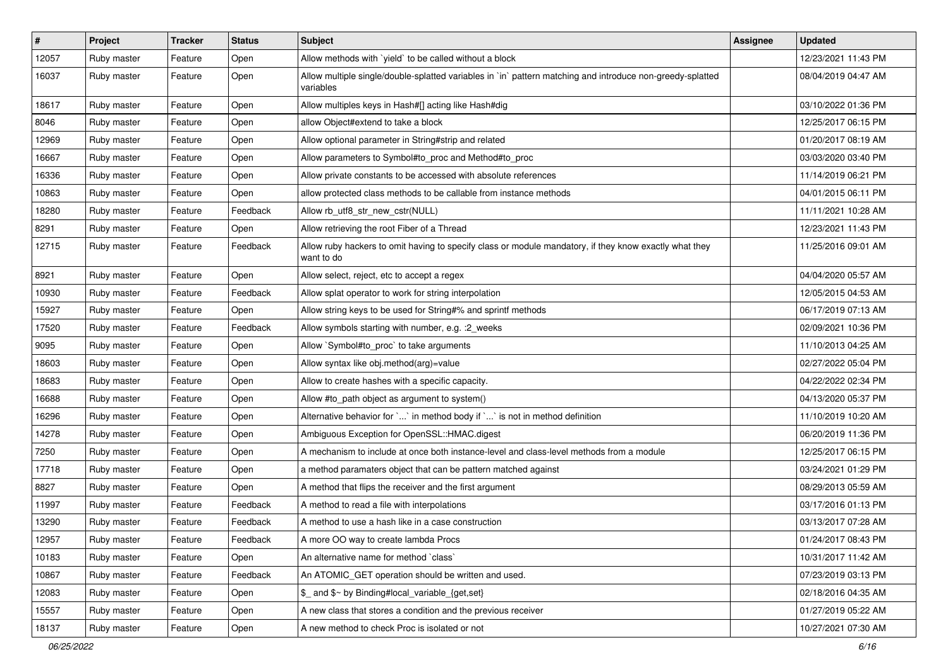| $\vert$ # | Project     | <b>Tracker</b> | <b>Status</b> | <b>Subject</b>                                                                                                          | <b>Assignee</b> | <b>Updated</b>      |
|-----------|-------------|----------------|---------------|-------------------------------------------------------------------------------------------------------------------------|-----------------|---------------------|
| 12057     | Ruby master | Feature        | Open          | Allow methods with 'yield' to be called without a block                                                                 |                 | 12/23/2021 11:43 PM |
| 16037     | Ruby master | Feature        | Open          | Allow multiple single/double-splatted variables in `in` pattern matching and introduce non-greedy-splatted<br>variables |                 | 08/04/2019 04:47 AM |
| 18617     | Ruby master | Feature        | Open          | Allow multiples keys in Hash#[] acting like Hash#dig                                                                    |                 | 03/10/2022 01:36 PM |
| 8046      | Ruby master | Feature        | Open          | allow Object#extend to take a block                                                                                     |                 | 12/25/2017 06:15 PM |
| 12969     | Ruby master | Feature        | Open          | Allow optional parameter in String#strip and related                                                                    |                 | 01/20/2017 08:19 AM |
| 16667     | Ruby master | Feature        | Open          | Allow parameters to Symbol#to_proc and Method#to_proc                                                                   |                 | 03/03/2020 03:40 PM |
| 16336     | Ruby master | Feature        | Open          | Allow private constants to be accessed with absolute references                                                         |                 | 11/14/2019 06:21 PM |
| 10863     | Ruby master | Feature        | Open          | allow protected class methods to be callable from instance methods                                                      |                 | 04/01/2015 06:11 PM |
| 18280     | Ruby master | Feature        | Feedback      | Allow rb_utf8_str_new_cstr(NULL)                                                                                        |                 | 11/11/2021 10:28 AM |
| 8291      | Ruby master | Feature        | Open          | Allow retrieving the root Fiber of a Thread                                                                             |                 | 12/23/2021 11:43 PM |
| 12715     | Ruby master | Feature        | Feedback      | Allow ruby hackers to omit having to specify class or module mandatory, if they know exactly what they<br>want to do    |                 | 11/25/2016 09:01 AM |
| 8921      | Ruby master | Feature        | Open          | Allow select, reject, etc to accept a regex                                                                             |                 | 04/04/2020 05:57 AM |
| 10930     | Ruby master | Feature        | Feedback      | Allow splat operator to work for string interpolation                                                                   |                 | 12/05/2015 04:53 AM |
| 15927     | Ruby master | Feature        | Open          | Allow string keys to be used for String#% and sprintf methods                                                           |                 | 06/17/2019 07:13 AM |
| 17520     | Ruby master | Feature        | Feedback      | Allow symbols starting with number, e.g. : 2_weeks                                                                      |                 | 02/09/2021 10:36 PM |
| 9095      | Ruby master | Feature        | Open          | Allow `Symbol#to_proc` to take arguments                                                                                |                 | 11/10/2013 04:25 AM |
| 18603     | Ruby master | Feature        | Open          | Allow syntax like obj.method(arg)=value                                                                                 |                 | 02/27/2022 05:04 PM |
| 18683     | Ruby master | Feature        | Open          | Allow to create hashes with a specific capacity.                                                                        |                 | 04/22/2022 02:34 PM |
| 16688     | Ruby master | Feature        | Open          | Allow #to_path object as argument to system()                                                                           |                 | 04/13/2020 05:37 PM |
| 16296     | Ruby master | Feature        | Open          | Alternative behavior for ` ` in method body if ` ` is not in method definition                                          |                 | 11/10/2019 10:20 AM |
| 14278     | Ruby master | Feature        | Open          | Ambiguous Exception for OpenSSL::HMAC.digest                                                                            |                 | 06/20/2019 11:36 PM |
| 7250      | Ruby master | Feature        | Open          | A mechanism to include at once both instance-level and class-level methods from a module                                |                 | 12/25/2017 06:15 PM |
| 17718     | Ruby master | Feature        | Open          | a method paramaters object that can be pattern matched against                                                          |                 | 03/24/2021 01:29 PM |
| 8827      | Ruby master | Feature        | Open          | A method that flips the receiver and the first argument                                                                 |                 | 08/29/2013 05:59 AM |
| 11997     | Ruby master | Feature        | Feedback      | A method to read a file with interpolations                                                                             |                 | 03/17/2016 01:13 PM |
| 13290     | Ruby master | Feature        | Feedback      | A method to use a hash like in a case construction                                                                      |                 | 03/13/2017 07:28 AM |
| 12957     | Ruby master | Feature        | Feedback      | A more OO way to create lambda Procs                                                                                    |                 | 01/24/2017 08:43 PM |
| 10183     | Ruby master | Feature        | Open          | An alternative name for method `class`                                                                                  |                 | 10/31/2017 11:42 AM |
| 10867     | Ruby master | Feature        | Feedback      | An ATOMIC_GET operation should be written and used.                                                                     |                 | 07/23/2019 03:13 PM |
| 12083     | Ruby master | Feature        | Open          | \$ and \$~ by Binding#local variable {get,set}                                                                          |                 | 02/18/2016 04:35 AM |
| 15557     | Ruby master | Feature        | Open          | A new class that stores a condition and the previous receiver                                                           |                 | 01/27/2019 05:22 AM |
| 18137     | Ruby master | Feature        | Open          | A new method to check Proc is isolated or not                                                                           |                 | 10/27/2021 07:30 AM |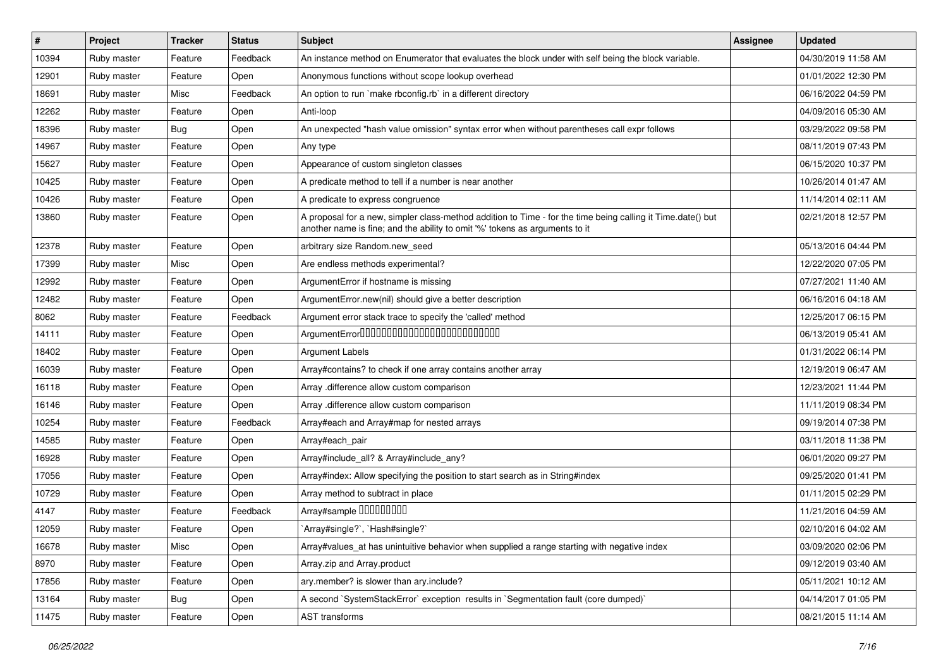| $\vert$ # | Project     | <b>Tracker</b> | <b>Status</b> | <b>Subject</b>                                                                                                                                                                             | Assignee | <b>Updated</b>      |
|-----------|-------------|----------------|---------------|--------------------------------------------------------------------------------------------------------------------------------------------------------------------------------------------|----------|---------------------|
| 10394     | Ruby master | Feature        | Feedback      | An instance method on Enumerator that evaluates the block under with self being the block variable.                                                                                        |          | 04/30/2019 11:58 AM |
| 12901     | Ruby master | Feature        | Open          | Anonymous functions without scope lookup overhead                                                                                                                                          |          | 01/01/2022 12:30 PM |
| 18691     | Ruby master | Misc           | Feedback      | An option to run `make rbconfig.rb` in a different directory                                                                                                                               |          | 06/16/2022 04:59 PM |
| 12262     | Ruby master | Feature        | Open          | Anti-loop                                                                                                                                                                                  |          | 04/09/2016 05:30 AM |
| 18396     | Ruby master | <b>Bug</b>     | Open          | An unexpected "hash value omission" syntax error when without parentheses call expr follows                                                                                                |          | 03/29/2022 09:58 PM |
| 14967     | Ruby master | Feature        | Open          | Any type                                                                                                                                                                                   |          | 08/11/2019 07:43 PM |
| 15627     | Ruby master | Feature        | Open          | Appearance of custom singleton classes                                                                                                                                                     |          | 06/15/2020 10:37 PM |
| 10425     | Ruby master | Feature        | Open          | A predicate method to tell if a number is near another                                                                                                                                     |          | 10/26/2014 01:47 AM |
| 10426     | Ruby master | Feature        | Open          | A predicate to express congruence                                                                                                                                                          |          | 11/14/2014 02:11 AM |
| 13860     | Ruby master | Feature        | Open          | A proposal for a new, simpler class-method addition to Time - for the time being calling it Time.date() but<br>another name is fine; and the ability to omit '%' tokens as arguments to it |          | 02/21/2018 12:57 PM |
| 12378     | Ruby master | Feature        | Open          | arbitrary size Random.new_seed                                                                                                                                                             |          | 05/13/2016 04:44 PM |
| 17399     | Ruby master | Misc           | Open          | Are endless methods experimental?                                                                                                                                                          |          | 12/22/2020 07:05 PM |
| 12992     | Ruby master | Feature        | Open          | ArgumentError if hostname is missing                                                                                                                                                       |          | 07/27/2021 11:40 AM |
| 12482     | Ruby master | Feature        | Open          | ArgumentError.new(nil) should give a better description                                                                                                                                    |          | 06/16/2016 04:18 AM |
| 8062      | Ruby master | Feature        | Feedback      | Argument error stack trace to specify the 'called' method                                                                                                                                  |          | 12/25/2017 06:15 PM |
| 14111     | Ruby master | Feature        | Open          | ArgumentError00000000000000000000000000                                                                                                                                                    |          | 06/13/2019 05:41 AM |
| 18402     | Ruby master | Feature        | Open          | <b>Argument Labels</b>                                                                                                                                                                     |          | 01/31/2022 06:14 PM |
| 16039     | Ruby master | Feature        | Open          | Array#contains? to check if one array contains another array                                                                                                                               |          | 12/19/2019 06:47 AM |
| 16118     | Ruby master | Feature        | Open          | Array .difference allow custom comparison                                                                                                                                                  |          | 12/23/2021 11:44 PM |
| 16146     | Ruby master | Feature        | Open          | Array .difference allow custom comparison                                                                                                                                                  |          | 11/11/2019 08:34 PM |
| 10254     | Ruby master | Feature        | Feedback      | Array#each and Array#map for nested arrays                                                                                                                                                 |          | 09/19/2014 07:38 PM |
| 14585     | Ruby master | Feature        | Open          | Array#each pair                                                                                                                                                                            |          | 03/11/2018 11:38 PM |
| 16928     | Ruby master | Feature        | Open          | Array#include all? & Array#include any?                                                                                                                                                    |          | 06/01/2020 09:27 PM |
| 17056     | Ruby master | Feature        | Open          | Array#index: Allow specifying the position to start search as in String#index                                                                                                              |          | 09/25/2020 01:41 PM |
| 10729     | Ruby master | Feature        | Open          | Array method to subtract in place                                                                                                                                                          |          | 01/11/2015 02:29 PM |
| 4147      | Ruby master | Feature        | Feedback      | Array#sample 00000000                                                                                                                                                                      |          | 11/21/2016 04:59 AM |
| 12059     | Ruby master | Feature        | Open          | `Array#single?`, `Hash#single?`                                                                                                                                                            |          | 02/10/2016 04:02 AM |
| 16678     | Ruby master | Misc           | Open          | Array#values_at has unintuitive behavior when supplied a range starting with negative index                                                                                                |          | 03/09/2020 02:06 PM |
| 8970      | Ruby master | Feature        | Open          | Array.zip and Array.product                                                                                                                                                                |          | 09/12/2019 03:40 AM |
| 17856     | Ruby master | Feature        | Open          | ary.member? is slower than ary.include?                                                                                                                                                    |          | 05/11/2021 10:12 AM |
| 13164     | Ruby master | <b>Bug</b>     | Open          | A second `SystemStackError` exception results in `Segmentation fault (core dumped)`                                                                                                        |          | 04/14/2017 01:05 PM |
| 11475     | Ruby master | Feature        | Open          | AST transforms                                                                                                                                                                             |          | 08/21/2015 11:14 AM |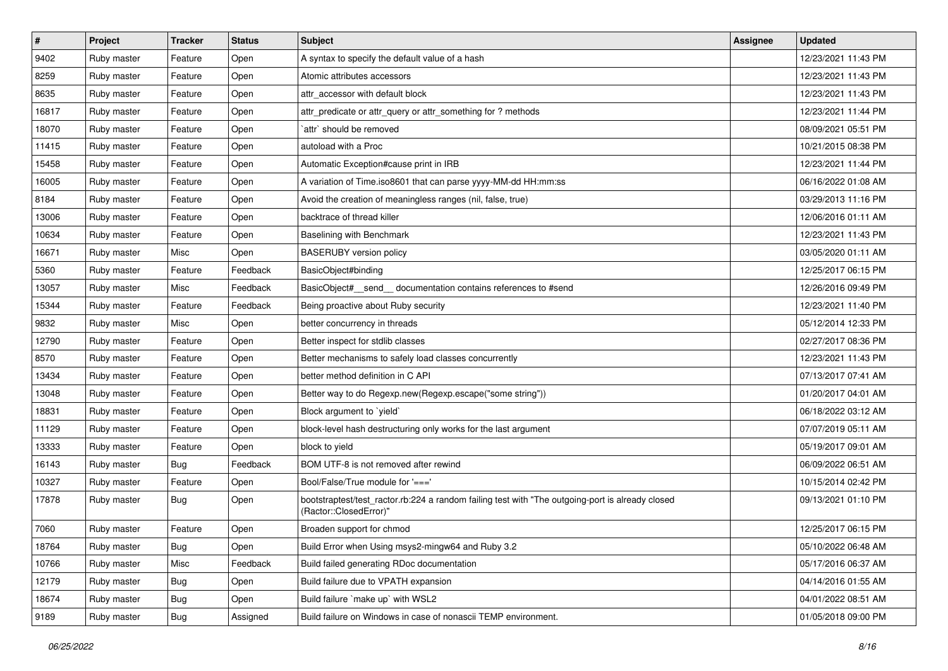| $\vert$ # | Project     | <b>Tracker</b> | <b>Status</b> | <b>Subject</b>                                                                                                             | <b>Assignee</b> | <b>Updated</b>      |
|-----------|-------------|----------------|---------------|----------------------------------------------------------------------------------------------------------------------------|-----------------|---------------------|
| 9402      | Ruby master | Feature        | Open          | A syntax to specify the default value of a hash                                                                            |                 | 12/23/2021 11:43 PM |
| 8259      | Ruby master | Feature        | Open          | Atomic attributes accessors                                                                                                |                 | 12/23/2021 11:43 PM |
| 8635      | Ruby master | Feature        | Open          | attr accessor with default block                                                                                           |                 | 12/23/2021 11:43 PM |
| 16817     | Ruby master | Feature        | Open          | attr_predicate or attr_query or attr_something for ? methods                                                               |                 | 12/23/2021 11:44 PM |
| 18070     | Ruby master | Feature        | Open          | `attr` should be removed                                                                                                   |                 | 08/09/2021 05:51 PM |
| 11415     | Ruby master | Feature        | Open          | autoload with a Proc                                                                                                       |                 | 10/21/2015 08:38 PM |
| 15458     | Ruby master | Feature        | Open          | Automatic Exception#cause print in IRB                                                                                     |                 | 12/23/2021 11:44 PM |
| 16005     | Ruby master | Feature        | Open          | A variation of Time.iso8601 that can parse yyyy-MM-dd HH:mm:ss                                                             |                 | 06/16/2022 01:08 AM |
| 8184      | Ruby master | Feature        | Open          | Avoid the creation of meaningless ranges (nil, false, true)                                                                |                 | 03/29/2013 11:16 PM |
| 13006     | Ruby master | Feature        | Open          | backtrace of thread killer                                                                                                 |                 | 12/06/2016 01:11 AM |
| 10634     | Ruby master | Feature        | Open          | Baselining with Benchmark                                                                                                  |                 | 12/23/2021 11:43 PM |
| 16671     | Ruby master | Misc           | Open          | <b>BASERUBY</b> version policy                                                                                             |                 | 03/05/2020 01:11 AM |
| 5360      | Ruby master | Feature        | Feedback      | BasicObject#binding                                                                                                        |                 | 12/25/2017 06:15 PM |
| 13057     | Ruby master | Misc           | Feedback      | BasicObject# send documentation contains references to #send                                                               |                 | 12/26/2016 09:49 PM |
| 15344     | Ruby master | Feature        | Feedback      | Being proactive about Ruby security                                                                                        |                 | 12/23/2021 11:40 PM |
| 9832      | Ruby master | Misc           | Open          | better concurrency in threads                                                                                              |                 | 05/12/2014 12:33 PM |
| 12790     | Ruby master | Feature        | Open          | Better inspect for stdlib classes                                                                                          |                 | 02/27/2017 08:36 PM |
| 8570      | Ruby master | Feature        | Open          | Better mechanisms to safely load classes concurrently                                                                      |                 | 12/23/2021 11:43 PM |
| 13434     | Ruby master | Feature        | Open          | better method definition in C API                                                                                          |                 | 07/13/2017 07:41 AM |
| 13048     | Ruby master | Feature        | Open          | Better way to do Regexp.new(Regexp.escape("some string"))                                                                  |                 | 01/20/2017 04:01 AM |
| 18831     | Ruby master | Feature        | Open          | Block argument to `yield`                                                                                                  |                 | 06/18/2022 03:12 AM |
| 11129     | Ruby master | Feature        | Open          | block-level hash destructuring only works for the last argument                                                            |                 | 07/07/2019 05:11 AM |
| 13333     | Ruby master | Feature        | Open          | block to yield                                                                                                             |                 | 05/19/2017 09:01 AM |
| 16143     | Ruby master | <b>Bug</b>     | Feedback      | BOM UTF-8 is not removed after rewind                                                                                      |                 | 06/09/2022 06:51 AM |
| 10327     | Ruby master | Feature        | Open          | Bool/False/True module for '==='                                                                                           |                 | 10/15/2014 02:42 PM |
| 17878     | Ruby master | <b>Bug</b>     | Open          | bootstraptest/test_ractor.rb:224 a random failing test with "The outgoing-port is already closed<br>(Ractor::ClosedError)" |                 | 09/13/2021 01:10 PM |
| 7060      | Ruby master | Feature        | Open          | Broaden support for chmod                                                                                                  |                 | 12/25/2017 06:15 PM |
| 18764     | Ruby master | <b>Bug</b>     | Open          | Build Error when Using msys2-mingw64 and Ruby 3.2                                                                          |                 | 05/10/2022 06:48 AM |
| 10766     | Ruby master | Misc           | Feedback      | Build failed generating RDoc documentation                                                                                 |                 | 05/17/2016 06:37 AM |
| 12179     | Ruby master | <b>Bug</b>     | Open          | Build failure due to VPATH expansion                                                                                       |                 | 04/14/2016 01:55 AM |
| 18674     | Ruby master | i Bug          | Open          | Build failure `make up` with WSL2                                                                                          |                 | 04/01/2022 08:51 AM |
| 9189      | Ruby master | i Bug          | Assigned      | Build failure on Windows in case of nonascii TEMP environment.                                                             |                 | 01/05/2018 09:00 PM |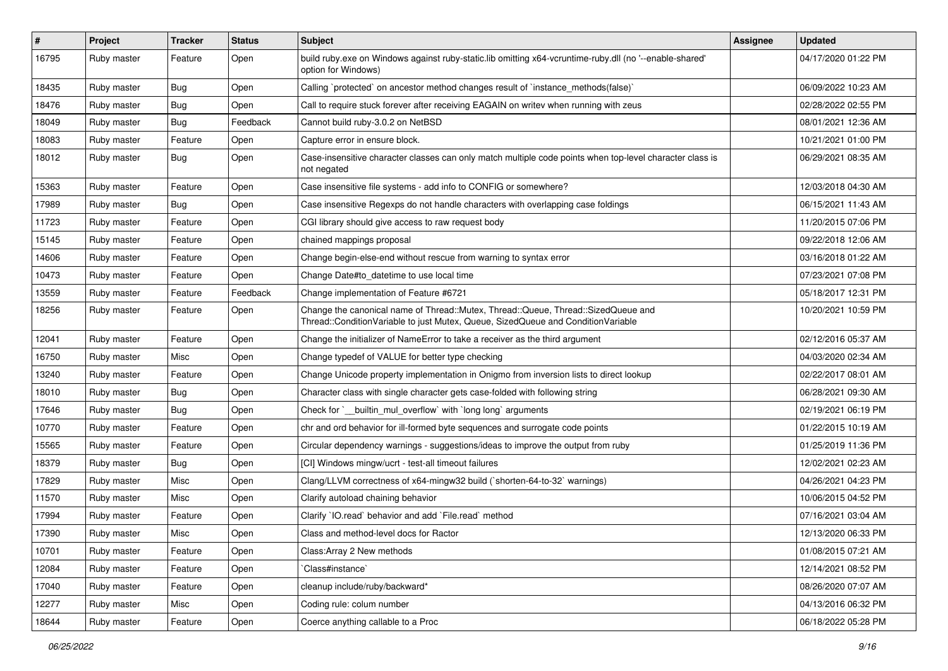| #     | Project     | <b>Tracker</b> | <b>Status</b> | <b>Subject</b>                                                                                                                                                        | Assignee | <b>Updated</b>      |
|-------|-------------|----------------|---------------|-----------------------------------------------------------------------------------------------------------------------------------------------------------------------|----------|---------------------|
| 16795 | Ruby master | Feature        | Open          | build ruby exe on Windows against ruby-static lib omitting x64-vcruntime-ruby dll (no '--enable-shared'<br>option for Windows)                                        |          | 04/17/2020 01:22 PM |
| 18435 | Ruby master | Bug            | Open          | Calling `protected` on ancestor method changes result of `instance_methods(false)`                                                                                    |          | 06/09/2022 10:23 AM |
| 18476 | Ruby master | Bug            | Open          | Call to require stuck forever after receiving EAGAIN on writev when running with zeus                                                                                 |          | 02/28/2022 02:55 PM |
| 18049 | Ruby master | <b>Bug</b>     | Feedback      | Cannot build ruby-3.0.2 on NetBSD                                                                                                                                     |          | 08/01/2021 12:36 AM |
| 18083 | Ruby master | Feature        | Open          | Capture error in ensure block.                                                                                                                                        |          | 10/21/2021 01:00 PM |
| 18012 | Ruby master | Bug            | Open          | Case-insensitive character classes can only match multiple code points when top-level character class is<br>not negated                                               |          | 06/29/2021 08:35 AM |
| 15363 | Ruby master | Feature        | Open          | Case insensitive file systems - add info to CONFIG or somewhere?                                                                                                      |          | 12/03/2018 04:30 AM |
| 17989 | Ruby master | <b>Bug</b>     | Open          | Case insensitive Regexps do not handle characters with overlapping case foldings                                                                                      |          | 06/15/2021 11:43 AM |
| 11723 | Ruby master | Feature        | Open          | CGI library should give access to raw request body                                                                                                                    |          | 11/20/2015 07:06 PM |
| 15145 | Ruby master | Feature        | Open          | chained mappings proposal                                                                                                                                             |          | 09/22/2018 12:06 AM |
| 14606 | Ruby master | Feature        | Open          | Change begin-else-end without rescue from warning to syntax error                                                                                                     |          | 03/16/2018 01:22 AM |
| 10473 | Ruby master | Feature        | Open          | Change Date#to datetime to use local time                                                                                                                             |          | 07/23/2021 07:08 PM |
| 13559 | Ruby master | Feature        | Feedback      | Change implementation of Feature #6721                                                                                                                                |          | 05/18/2017 12:31 PM |
| 18256 | Ruby master | Feature        | Open          | Change the canonical name of Thread::Mutex, Thread::Queue, Thread::SizedQueue and<br>Thread::ConditionVariable to just Mutex, Queue, SizedQueue and ConditionVariable |          | 10/20/2021 10:59 PM |
| 12041 | Ruby master | Feature        | Open          | Change the initializer of NameError to take a receiver as the third argument                                                                                          |          | 02/12/2016 05:37 AM |
| 16750 | Ruby master | Misc           | Open          | Change typedef of VALUE for better type checking                                                                                                                      |          | 04/03/2020 02:34 AM |
| 13240 | Ruby master | Feature        | Open          | Change Unicode property implementation in Onigmo from inversion lists to direct lookup                                                                                |          | 02/22/2017 08:01 AM |
| 18010 | Ruby master | <b>Bug</b>     | Open          | Character class with single character gets case-folded with following string                                                                                          |          | 06/28/2021 09:30 AM |
| 17646 | Ruby master | <b>Bug</b>     | Open          | Check for `__builtin_mul_overflow` with `long long` arguments                                                                                                         |          | 02/19/2021 06:19 PM |
| 10770 | Ruby master | Feature        | Open          | chr and ord behavior for ill-formed byte sequences and surrogate code points                                                                                          |          | 01/22/2015 10:19 AM |
| 15565 | Ruby master | Feature        | Open          | Circular dependency warnings - suggestions/ideas to improve the output from ruby                                                                                      |          | 01/25/2019 11:36 PM |
| 18379 | Ruby master | <b>Bug</b>     | Open          | [CI] Windows mingw/ucrt - test-all timeout failures                                                                                                                   |          | 12/02/2021 02:23 AM |
| 17829 | Ruby master | Misc           | Open          | Clang/LLVM correctness of x64-mingw32 build (`shorten-64-to-32` warnings)                                                                                             |          | 04/26/2021 04:23 PM |
| 11570 | Ruby master | Misc           | Open          | Clarify autoload chaining behavior                                                                                                                                    |          | 10/06/2015 04:52 PM |
| 17994 | Ruby master | Feature        | Open          | Clarify `IO.read` behavior and add `File.read` method                                                                                                                 |          | 07/16/2021 03:04 AM |
| 17390 | Ruby master | Misc           | Open          | Class and method-level docs for Ractor                                                                                                                                |          | 12/13/2020 06:33 PM |
| 10701 | Ruby master | Feature        | Open          | Class: Array 2 New methods                                                                                                                                            |          | 01/08/2015 07:21 AM |
| 12084 | Ruby master | Feature        | Open          | Class#instance`                                                                                                                                                       |          | 12/14/2021 08:52 PM |
| 17040 | Ruby master | Feature        | Open          | cleanup include/ruby/backward*                                                                                                                                        |          | 08/26/2020 07:07 AM |
| 12277 | Ruby master | Misc           | Open          | Coding rule: colum number                                                                                                                                             |          | 04/13/2016 06:32 PM |
| 18644 | Ruby master | Feature        | Open          | Coerce anything callable to a Proc                                                                                                                                    |          | 06/18/2022 05:28 PM |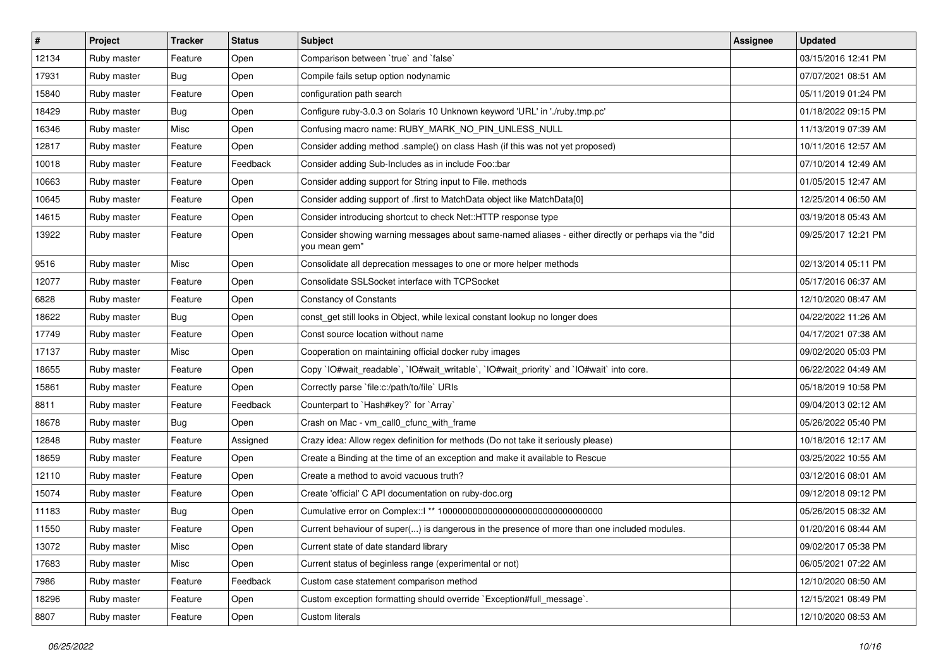| $\vert$ # | Project     | <b>Tracker</b> | <b>Status</b> | <b>Subject</b>                                                                                                        | Assignee | <b>Updated</b>      |
|-----------|-------------|----------------|---------------|-----------------------------------------------------------------------------------------------------------------------|----------|---------------------|
| 12134     | Ruby master | Feature        | Open          | Comparison between 'true' and 'false'                                                                                 |          | 03/15/2016 12:41 PM |
| 17931     | Ruby master | <b>Bug</b>     | Open          | Compile fails setup option nodynamic                                                                                  |          | 07/07/2021 08:51 AM |
| 15840     | Ruby master | Feature        | Open          | configuration path search                                                                                             |          | 05/11/2019 01:24 PM |
| 18429     | Ruby master | Bug            | Open          | Configure ruby-3.0.3 on Solaris 10 Unknown keyword 'URL' in './ruby.tmp.pc'                                           |          | 01/18/2022 09:15 PM |
| 16346     | Ruby master | Misc           | Open          | Confusing macro name: RUBY_MARK_NO_PIN_UNLESS_NULL                                                                    |          | 11/13/2019 07:39 AM |
| 12817     | Ruby master | Feature        | Open          | Consider adding method .sample() on class Hash (if this was not yet proposed)                                         |          | 10/11/2016 12:57 AM |
| 10018     | Ruby master | Feature        | Feedback      | Consider adding Sub-Includes as in include Foo::bar                                                                   |          | 07/10/2014 12:49 AM |
| 10663     | Ruby master | Feature        | Open          | Consider adding support for String input to File. methods                                                             |          | 01/05/2015 12:47 AM |
| 10645     | Ruby master | Feature        | Open          | Consider adding support of .first to MatchData object like MatchData[0]                                               |          | 12/25/2014 06:50 AM |
| 14615     | Ruby master | Feature        | Open          | Consider introducing shortcut to check Net::HTTP response type                                                        |          | 03/19/2018 05:43 AM |
| 13922     | Ruby master | Feature        | Open          | Consider showing warning messages about same-named aliases - either directly or perhaps via the "did<br>you mean gem" |          | 09/25/2017 12:21 PM |
| 9516      | Ruby master | Misc           | Open          | Consolidate all deprecation messages to one or more helper methods                                                    |          | 02/13/2014 05:11 PM |
| 12077     | Ruby master | Feature        | Open          | Consolidate SSLSocket interface with TCPSocket                                                                        |          | 05/17/2016 06:37 AM |
| 6828      | Ruby master | Feature        | Open          | <b>Constancy of Constants</b>                                                                                         |          | 12/10/2020 08:47 AM |
| 18622     | Ruby master | Bug            | Open          | const_get still looks in Object, while lexical constant lookup no longer does                                         |          | 04/22/2022 11:26 AM |
| 17749     | Ruby master | Feature        | Open          | Const source location without name                                                                                    |          | 04/17/2021 07:38 AM |
| 17137     | Ruby master | Misc           | Open          | Cooperation on maintaining official docker ruby images                                                                |          | 09/02/2020 05:03 PM |
| 18655     | Ruby master | Feature        | Open          | Copy `IO#wait_readable`, `IO#wait_writable`, `IO#wait_priority` and `IO#wait` into core.                              |          | 06/22/2022 04:49 AM |
| 15861     | Ruby master | Feature        | Open          | Correctly parse `file:c:/path/to/file` URIs                                                                           |          | 05/18/2019 10:58 PM |
| 8811      | Ruby master | Feature        | Feedback      | Counterpart to `Hash#key?` for `Array`                                                                                |          | 09/04/2013 02:12 AM |
| 18678     | Ruby master | Bug            | Open          | Crash on Mac - vm_call0_cfunc_with_frame                                                                              |          | 05/26/2022 05:40 PM |
| 12848     | Ruby master | Feature        | Assigned      | Crazy idea: Allow regex definition for methods (Do not take it seriously please)                                      |          | 10/18/2016 12:17 AM |
| 18659     | Ruby master | Feature        | Open          | Create a Binding at the time of an exception and make it available to Rescue                                          |          | 03/25/2022 10:55 AM |
| 12110     | Ruby master | Feature        | Open          | Create a method to avoid vacuous truth?                                                                               |          | 03/12/2016 08:01 AM |
| 15074     | Ruby master | Feature        | Open          | Create 'official' C API documentation on ruby-doc.org                                                                 |          | 09/12/2018 09:12 PM |
| 11183     | Ruby master | Bug            | Open          |                                                                                                                       |          | 05/26/2015 08:32 AM |
| 11550     | Ruby master | Feature        | Open          | Current behaviour of super() is dangerous in the presence of more than one included modules.                          |          | 01/20/2016 08:44 AM |
| 13072     | Ruby master | Misc           | Open          | Current state of date standard library                                                                                |          | 09/02/2017 05:38 PM |
| 17683     | Ruby master | Misc           | Open          | Current status of beginless range (experimental or not)                                                               |          | 06/05/2021 07:22 AM |
| 7986      | Ruby master | Feature        | Feedback      | Custom case statement comparison method                                                                               |          | 12/10/2020 08:50 AM |
| 18296     | Ruby master | Feature        | Open          | Custom exception formatting should override `Exception#full_message`.                                                 |          | 12/15/2021 08:49 PM |
| 8807      | Ruby master | Feature        | Open          | Custom literals                                                                                                       |          | 12/10/2020 08:53 AM |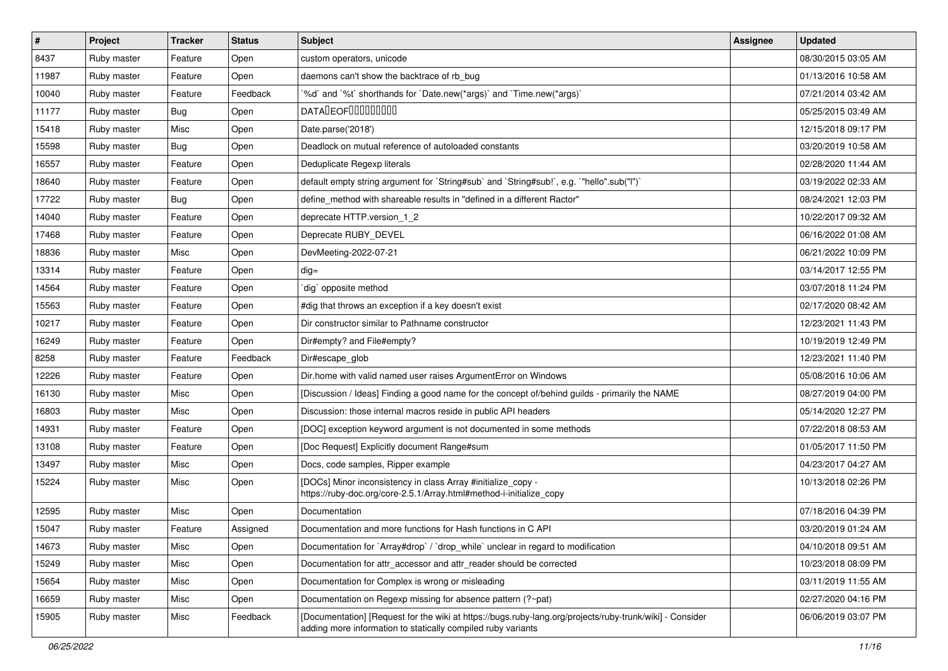| $\vert$ # | Project     | <b>Tracker</b> | <b>Status</b> | <b>Subject</b>                                                                                                                                                           | Assignee | <b>Updated</b>      |
|-----------|-------------|----------------|---------------|--------------------------------------------------------------------------------------------------------------------------------------------------------------------------|----------|---------------------|
| 8437      | Ruby master | Feature        | Open          | custom operators, unicode                                                                                                                                                |          | 08/30/2015 03:05 AM |
| 11987     | Ruby master | Feature        | Open          | daemons can't show the backtrace of rb_bug                                                                                                                               |          | 01/13/2016 10:58 AM |
| 10040     | Ruby master | Feature        | Feedback      | '%d' and '%t' shorthands for 'Date.new(*args)' and 'Time.new(*args)'                                                                                                     |          | 07/21/2014 03:42 AM |
| 11177     | Ruby master | Bug            | Open          | <b>DATALEOFILILILILILI</b>                                                                                                                                               |          | 05/25/2015 03:49 AM |
| 15418     | Ruby master | Misc           | Open          | Date.parse('2018')                                                                                                                                                       |          | 12/15/2018 09:17 PM |
| 15598     | Ruby master | <b>Bug</b>     | Open          | Deadlock on mutual reference of autoloaded constants                                                                                                                     |          | 03/20/2019 10:58 AM |
| 16557     | Ruby master | Feature        | Open          | Deduplicate Regexp literals                                                                                                                                              |          | 02/28/2020 11:44 AM |
| 18640     | Ruby master | Feature        | Open          | default empty string argument for `String#sub` and `String#sub!`, e.g. `"hello".sub("I")`                                                                                |          | 03/19/2022 02:33 AM |
| 17722     | Ruby master | Bug            | Open          | define method with shareable results in "defined in a different Ractor"                                                                                                  |          | 08/24/2021 12:03 PM |
| 14040     | Ruby master | Feature        | Open          | deprecate HTTP.version_1_2                                                                                                                                               |          | 10/22/2017 09:32 AM |
| 17468     | Ruby master | Feature        | Open          | Deprecate RUBY DEVEL                                                                                                                                                     |          | 06/16/2022 01:08 AM |
| 18836     | Ruby master | Misc           | Open          | DevMeeting-2022-07-21                                                                                                                                                    |          | 06/21/2022 10:09 PM |
| 13314     | Ruby master | Feature        | Open          | $dig =$                                                                                                                                                                  |          | 03/14/2017 12:55 PM |
| 14564     | Ruby master | Feature        | Open          | dig` opposite method                                                                                                                                                     |          | 03/07/2018 11:24 PM |
| 15563     | Ruby master | Feature        | Open          | #dig that throws an exception if a key doesn't exist                                                                                                                     |          | 02/17/2020 08:42 AM |
| 10217     | Ruby master | Feature        | Open          | Dir constructor similar to Pathname constructor                                                                                                                          |          | 12/23/2021 11:43 PM |
| 16249     | Ruby master | Feature        | Open          | Dir#empty? and File#empty?                                                                                                                                               |          | 10/19/2019 12:49 PM |
| 8258      | Ruby master | Feature        | Feedback      | Dir#escape_glob                                                                                                                                                          |          | 12/23/2021 11:40 PM |
| 12226     | Ruby master | Feature        | Open          | Dir.home with valid named user raises ArgumentError on Windows                                                                                                           |          | 05/08/2016 10:06 AM |
| 16130     | Ruby master | Misc           | Open          | [Discussion / Ideas] Finding a good name for the concept of/behind guilds - primarily the NAME                                                                           |          | 08/27/2019 04:00 PM |
| 16803     | Ruby master | Misc           | Open          | Discussion: those internal macros reside in public API headers                                                                                                           |          | 05/14/2020 12:27 PM |
| 14931     | Ruby master | Feature        | Open          | [DOC] exception keyword argument is not documented in some methods                                                                                                       |          | 07/22/2018 08:53 AM |
| 13108     | Ruby master | Feature        | Open          | [Doc Request] Explicitly document Range#sum                                                                                                                              |          | 01/05/2017 11:50 PM |
| 13497     | Ruby master | Misc           | Open          | Docs, code samples, Ripper example                                                                                                                                       |          | 04/23/2017 04:27 AM |
| 15224     | Ruby master | Misc           | Open          | [DOCs] Minor inconsistency in class Array #initialize_copy -<br>https://ruby-doc.org/core-2.5.1/Array.html#method-i-initialize_copy                                      |          | 10/13/2018 02:26 PM |
| 12595     | Ruby master | Misc           | Open          | Documentation                                                                                                                                                            |          | 07/18/2016 04:39 PM |
| 15047     | Ruby master | Feature        | Assigned      | Documentation and more functions for Hash functions in C API                                                                                                             |          | 03/20/2019 01:24 AM |
| 14673     | Ruby master | Misc           | Open          | Documentation for `Array#drop` / `drop_while` unclear in regard to modification                                                                                          |          | 04/10/2018 09:51 AM |
| 15249     | Ruby master | Misc           | Open          | Documentation for attr_accessor and attr_reader should be corrected                                                                                                      |          | 10/23/2018 08:09 PM |
| 15654     | Ruby master | Misc           | Open          | Documentation for Complex is wrong or misleading                                                                                                                         |          | 03/11/2019 11:55 AM |
| 16659     | Ruby master | Misc           | Open          | Documentation on Regexp missing for absence pattern (?~pat)                                                                                                              |          | 02/27/2020 04:16 PM |
| 15905     | Ruby master | Misc           | Feedback      | [Documentation] [Request for the wiki at https://bugs.ruby-lang.org/projects/ruby-trunk/wiki] - Consider<br>adding more information to statically compiled ruby variants |          | 06/06/2019 03:07 PM |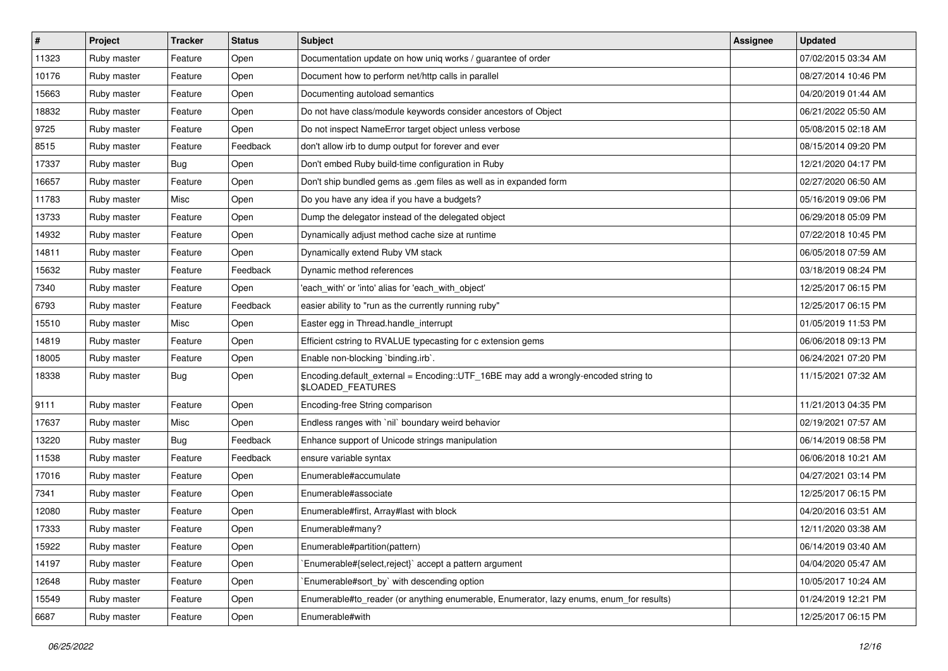| $\sharp$ | Project     | <b>Tracker</b> | <b>Status</b> | <b>Subject</b>                                                                                          | <b>Assignee</b> | <b>Updated</b>      |
|----------|-------------|----------------|---------------|---------------------------------------------------------------------------------------------------------|-----------------|---------------------|
| 11323    | Ruby master | Feature        | Open          | Documentation update on how uniq works / guarantee of order                                             |                 | 07/02/2015 03:34 AM |
| 10176    | Ruby master | Feature        | Open          | Document how to perform net/http calls in parallel                                                      |                 | 08/27/2014 10:46 PM |
| 15663    | Ruby master | Feature        | Open          | Documenting autoload semantics                                                                          |                 | 04/20/2019 01:44 AM |
| 18832    | Ruby master | Feature        | Open          | Do not have class/module keywords consider ancestors of Object                                          |                 | 06/21/2022 05:50 AM |
| 9725     | Ruby master | Feature        | Open          | Do not inspect NameError target object unless verbose                                                   |                 | 05/08/2015 02:18 AM |
| 8515     | Ruby master | Feature        | Feedback      | don't allow irb to dump output for forever and ever                                                     |                 | 08/15/2014 09:20 PM |
| 17337    | Ruby master | <b>Bug</b>     | Open          | Don't embed Ruby build-time configuration in Ruby                                                       |                 | 12/21/2020 04:17 PM |
| 16657    | Ruby master | Feature        | Open          | Don't ship bundled gems as .gem files as well as in expanded form                                       |                 | 02/27/2020 06:50 AM |
| 11783    | Ruby master | Misc           | Open          | Do you have any idea if you have a budgets?                                                             |                 | 05/16/2019 09:06 PM |
| 13733    | Ruby master | Feature        | Open          | Dump the delegator instead of the delegated object                                                      |                 | 06/29/2018 05:09 PM |
| 14932    | Ruby master | Feature        | Open          | Dynamically adjust method cache size at runtime                                                         |                 | 07/22/2018 10:45 PM |
| 14811    | Ruby master | Feature        | Open          | Dynamically extend Ruby VM stack                                                                        |                 | 06/05/2018 07:59 AM |
| 15632    | Ruby master | Feature        | Feedback      | Dynamic method references                                                                               |                 | 03/18/2019 08:24 PM |
| 7340     | Ruby master | Feature        | Open          | 'each_with' or 'into' alias for 'each_with_object'                                                      |                 | 12/25/2017 06:15 PM |
| 6793     | Ruby master | Feature        | Feedback      | easier ability to "run as the currently running ruby"                                                   |                 | 12/25/2017 06:15 PM |
| 15510    | Ruby master | Misc           | Open          | Easter egg in Thread.handle_interrupt                                                                   |                 | 01/05/2019 11:53 PM |
| 14819    | Ruby master | Feature        | Open          | Efficient cstring to RVALUE typecasting for c extension gems                                            |                 | 06/06/2018 09:13 PM |
| 18005    | Ruby master | Feature        | Open          | Enable non-blocking `binding.irb`.                                                                      |                 | 06/24/2021 07:20 PM |
| 18338    | Ruby master | Bug            | Open          | Encoding.default_external = Encoding::UTF_16BE may add a wrongly-encoded string to<br>\$LOADED_FEATURES |                 | 11/15/2021 07:32 AM |
| 9111     | Ruby master | Feature        | Open          | Encoding-free String comparison                                                                         |                 | 11/21/2013 04:35 PM |
| 17637    | Ruby master | Misc           | Open          | Endless ranges with 'nil' boundary weird behavior                                                       |                 | 02/19/2021 07:57 AM |
| 13220    | Ruby master | <b>Bug</b>     | Feedback      | Enhance support of Unicode strings manipulation                                                         |                 | 06/14/2019 08:58 PM |
| 11538    | Ruby master | Feature        | Feedback      | ensure variable syntax                                                                                  |                 | 06/06/2018 10:21 AM |
| 17016    | Ruby master | Feature        | Open          | Enumerable#accumulate                                                                                   |                 | 04/27/2021 03:14 PM |
| 7341     | Ruby master | Feature        | Open          | Enumerable#associate                                                                                    |                 | 12/25/2017 06:15 PM |
| 12080    | Ruby master | Feature        | Open          | Enumerable#first, Array#last with block                                                                 |                 | 04/20/2016 03:51 AM |
| 17333    | Ruby master | Feature        | Open          | Enumerable#many?                                                                                        |                 | 12/11/2020 03:38 AM |
| 15922    | Ruby master | Feature        | Open          | Enumerable#partition(pattern)                                                                           |                 | 06/14/2019 03:40 AM |
| 14197    | Ruby master | Feature        | Open          | Enumerable#{select,reject}` accept a pattern argument                                                   |                 | 04/04/2020 05:47 AM |
| 12648    | Ruby master | Feature        | Open          | `Enumerable#sort_by` with descending option                                                             |                 | 10/05/2017 10:24 AM |
| 15549    | Ruby master | Feature        | Open          | Enumerable#to_reader (or anything enumerable, Enumerator, lazy enums, enum_for results)                 |                 | 01/24/2019 12:21 PM |
| 6687     | Ruby master | Feature        | Open          | Enumerable#with                                                                                         |                 | 12/25/2017 06:15 PM |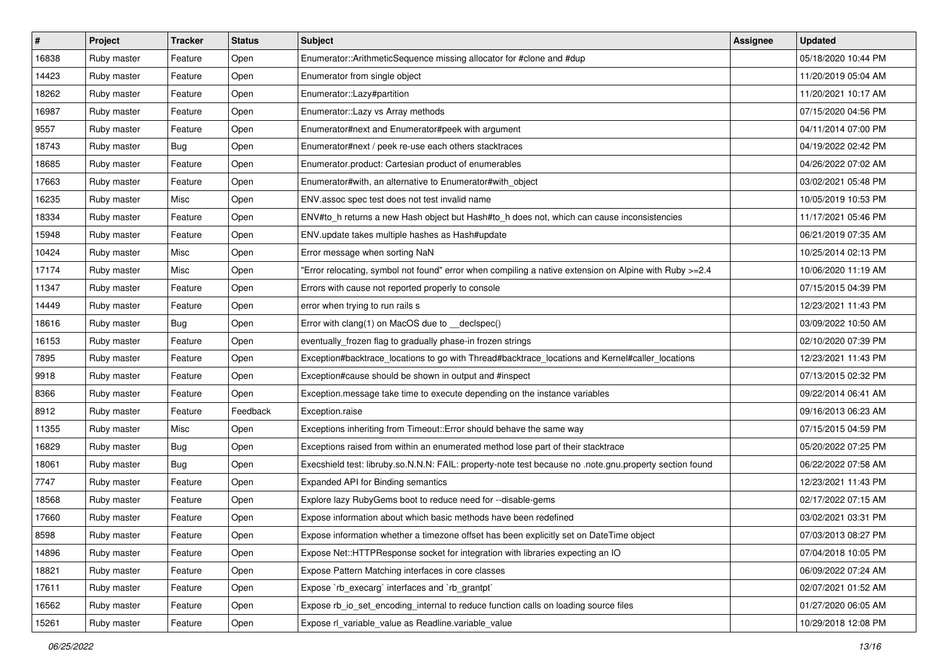| #     | Project     | <b>Tracker</b> | <b>Status</b> | <b>Subject</b>                                                                                          | Assignee | <b>Updated</b>      |
|-------|-------------|----------------|---------------|---------------------------------------------------------------------------------------------------------|----------|---------------------|
| 16838 | Ruby master | Feature        | Open          | Enumerator::ArithmeticSequence missing allocator for #clone and #dup                                    |          | 05/18/2020 10:44 PM |
| 14423 | Ruby master | Feature        | Open          | Enumerator from single object                                                                           |          | 11/20/2019 05:04 AM |
| 18262 | Ruby master | Feature        | Open          | Enumerator::Lazy#partition                                                                              |          | 11/20/2021 10:17 AM |
| 16987 | Ruby master | Feature        | Open          | Enumerator::Lazy vs Array methods                                                                       |          | 07/15/2020 04:56 PM |
| 9557  | Ruby master | Feature        | Open          | Enumerator#next and Enumerator#peek with argument                                                       |          | 04/11/2014 07:00 PM |
| 18743 | Ruby master | <b>Bug</b>     | Open          | Enumerator#next / peek re-use each others stacktraces                                                   |          | 04/19/2022 02:42 PM |
| 18685 | Ruby master | Feature        | Open          | Enumerator.product: Cartesian product of enumerables                                                    |          | 04/26/2022 07:02 AM |
| 17663 | Ruby master | Feature        | Open          | Enumerator#with, an alternative to Enumerator#with_object                                               |          | 03/02/2021 05:48 PM |
| 16235 | Ruby master | Misc           | Open          | ENV assoc spec test does not test invalid name                                                          |          | 10/05/2019 10:53 PM |
| 18334 | Ruby master | Feature        | Open          | ENV#to_h returns a new Hash object but Hash#to_h does not, which can cause inconsistencies              |          | 11/17/2021 05:46 PM |
| 15948 | Ruby master | Feature        | Open          | ENV.update takes multiple hashes as Hash#update                                                         |          | 06/21/2019 07:35 AM |
| 10424 | Ruby master | Misc           | Open          | Error message when sorting NaN                                                                          |          | 10/25/2014 02:13 PM |
| 17174 | Ruby master | Misc           | Open          | Error relocating, symbol not found" error when compiling a native extension on Alpine with Ruby >=2.4"  |          | 10/06/2020 11:19 AM |
| 11347 | Ruby master | Feature        | Open          | Errors with cause not reported properly to console                                                      |          | 07/15/2015 04:39 PM |
| 14449 | Ruby master | Feature        | Open          | error when trying to run rails s                                                                        |          | 12/23/2021 11:43 PM |
| 18616 | Ruby master | Bug            | Open          | Error with clang(1) on MacOS due to __declspec()                                                        |          | 03/09/2022 10:50 AM |
| 16153 | Ruby master | Feature        | Open          | eventually_frozen flag to gradually phase-in frozen strings                                             |          | 02/10/2020 07:39 PM |
| 7895  | Ruby master | Feature        | Open          | Exception#backtrace_locations to go with Thread#backtrace_locations and Kernel#caller_locations         |          | 12/23/2021 11:43 PM |
| 9918  | Ruby master | Feature        | Open          | Exception#cause should be shown in output and #inspect                                                  |          | 07/13/2015 02:32 PM |
| 8366  | Ruby master | Feature        | Open          | Exception.message take time to execute depending on the instance variables                              |          | 09/22/2014 06:41 AM |
| 8912  | Ruby master | Feature        | Feedback      | Exception.raise                                                                                         |          | 09/16/2013 06:23 AM |
| 11355 | Ruby master | Misc           | Open          | Exceptions inheriting from Timeout:: Error should behave the same way                                   |          | 07/15/2015 04:59 PM |
| 16829 | Ruby master | <b>Bug</b>     | Open          | Exceptions raised from within an enumerated method lose part of their stacktrace                        |          | 05/20/2022 07:25 PM |
| 18061 | Ruby master | <b>Bug</b>     | Open          | Execshield test: libruby.so.N.N.N: FAIL: property-note test because no .note.gnu.property section found |          | 06/22/2022 07:58 AM |
| 7747  | Ruby master | Feature        | Open          | Expanded API for Binding semantics                                                                      |          | 12/23/2021 11:43 PM |
| 18568 | Ruby master | Feature        | Open          | Explore lazy RubyGems boot to reduce need for --disable-gems                                            |          | 02/17/2022 07:15 AM |
| 17660 | Ruby master | Feature        | Open          | Expose information about which basic methods have been redefined                                        |          | 03/02/2021 03:31 PM |
| 8598  | Ruby master | Feature        | Open          | Expose information whether a timezone offset has been explicitly set on DateTime object                 |          | 07/03/2013 08:27 PM |
| 14896 | Ruby master | Feature        | Open          | Expose Net::HTTPResponse socket for integration with libraries expecting an IO                          |          | 07/04/2018 10:05 PM |
| 18821 | Ruby master | Feature        | Open          | Expose Pattern Matching interfaces in core classes                                                      |          | 06/09/2022 07:24 AM |
| 17611 | Ruby master | Feature        | Open          | Expose `rb_execarg` interfaces and `rb_grantpt`                                                         |          | 02/07/2021 01:52 AM |
| 16562 | Ruby master | Feature        | Open          | Expose rb io set encoding internal to reduce function calls on loading source files                     |          | 01/27/2020 06:05 AM |
| 15261 | Ruby master | Feature        | Open          | Expose rl_variable_value as Readline.variable_value                                                     |          | 10/29/2018 12:08 PM |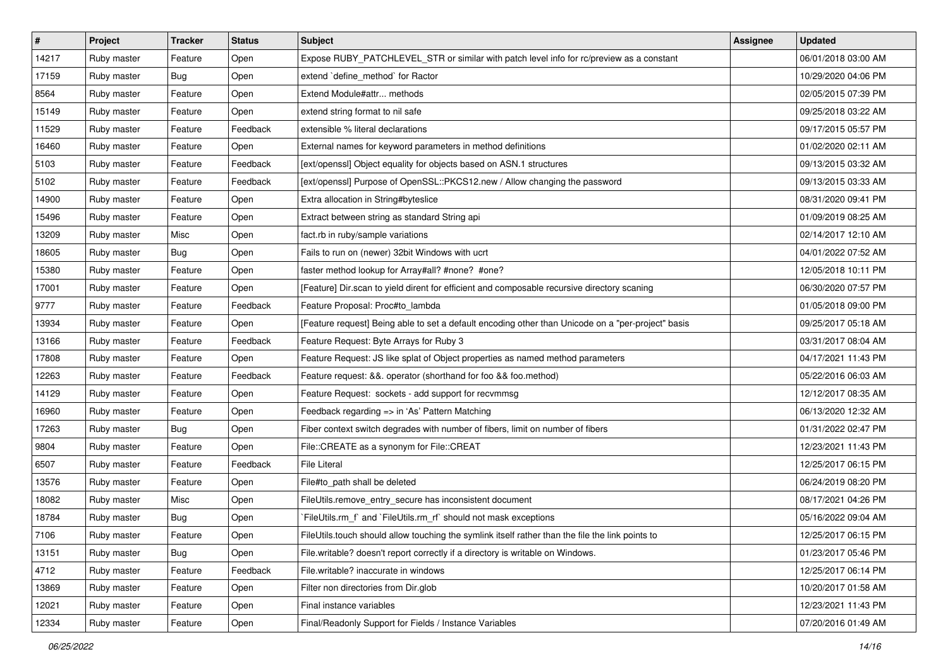| $\vert$ # | Project     | <b>Tracker</b> | <b>Status</b> | <b>Subject</b>                                                                                     | Assignee | <b>Updated</b>      |
|-----------|-------------|----------------|---------------|----------------------------------------------------------------------------------------------------|----------|---------------------|
| 14217     | Ruby master | Feature        | Open          | Expose RUBY_PATCHLEVEL_STR or similar with patch level info for rc/preview as a constant           |          | 06/01/2018 03:00 AM |
| 17159     | Ruby master | Bug            | Open          | extend 'define_method' for Ractor                                                                  |          | 10/29/2020 04:06 PM |
| 8564      | Ruby master | Feature        | Open          | Extend Module#attr methods                                                                         |          | 02/05/2015 07:39 PM |
| 15149     | Ruby master | Feature        | Open          | extend string format to nil safe                                                                   |          | 09/25/2018 03:22 AM |
| 11529     | Ruby master | Feature        | Feedback      | extensible % literal declarations                                                                  |          | 09/17/2015 05:57 PM |
| 16460     | Ruby master | Feature        | Open          | External names for keyword parameters in method definitions                                        |          | 01/02/2020 02:11 AM |
| 5103      | Ruby master | Feature        | Feedback      | [ext/openssl] Object equality for objects based on ASN.1 structures                                |          | 09/13/2015 03:32 AM |
| 5102      | Ruby master | Feature        | Feedback      | [ext/openssl] Purpose of OpenSSL::PKCS12.new / Allow changing the password                         |          | 09/13/2015 03:33 AM |
| 14900     | Ruby master | Feature        | Open          | Extra allocation in String#byteslice                                                               |          | 08/31/2020 09:41 PM |
| 15496     | Ruby master | Feature        | Open          | Extract between string as standard String api                                                      |          | 01/09/2019 08:25 AM |
| 13209     | Ruby master | Misc           | Open          | fact.rb in ruby/sample variations                                                                  |          | 02/14/2017 12:10 AM |
| 18605     | Ruby master | Bug            | Open          | Fails to run on (newer) 32bit Windows with ucrt                                                    |          | 04/01/2022 07:52 AM |
| 15380     | Ruby master | Feature        | Open          | faster method lookup for Array#all? #none? #one?                                                   |          | 12/05/2018 10:11 PM |
| 17001     | Ruby master | Feature        | Open          | [Feature] Dir.scan to yield dirent for efficient and composable recursive directory scaning        |          | 06/30/2020 07:57 PM |
| 9777      | Ruby master | Feature        | Feedback      | Feature Proposal: Proc#to_lambda                                                                   |          | 01/05/2018 09:00 PM |
| 13934     | Ruby master | Feature        | Open          | [Feature request] Being able to set a default encoding other than Unicode on a "per-project" basis |          | 09/25/2017 05:18 AM |
| 13166     | Ruby master | Feature        | Feedback      | Feature Request: Byte Arrays for Ruby 3                                                            |          | 03/31/2017 08:04 AM |
| 17808     | Ruby master | Feature        | Open          | Feature Request: JS like splat of Object properties as named method parameters                     |          | 04/17/2021 11:43 PM |
| 12263     | Ruby master | Feature        | Feedback      | Feature request: &&. operator (shorthand for foo && foo.method)                                    |          | 05/22/2016 06:03 AM |
| 14129     | Ruby master | Feature        | Open          | Feature Request: sockets - add support for recvmmsg                                                |          | 12/12/2017 08:35 AM |
| 16960     | Ruby master | Feature        | Open          | Feedback regarding => in 'As' Pattern Matching                                                     |          | 06/13/2020 12:32 AM |
| 17263     | Ruby master | Bug            | Open          | Fiber context switch degrades with number of fibers, limit on number of fibers                     |          | 01/31/2022 02:47 PM |
| 9804      | Ruby master | Feature        | Open          | File::CREATE as a synonym for File::CREAT                                                          |          | 12/23/2021 11:43 PM |
| 6507      | Ruby master | Feature        | Feedback      | <b>File Literal</b>                                                                                |          | 12/25/2017 06:15 PM |
| 13576     | Ruby master | Feature        | Open          | File#to_path shall be deleted                                                                      |          | 06/24/2019 08:20 PM |
| 18082     | Ruby master | Misc           | Open          | FileUtils.remove_entry_secure has inconsistent document                                            |          | 08/17/2021 04:26 PM |
| 18784     | Ruby master | Bug            | Open          | FileUtils.rm f and `FileUtils.rm rf should not mask exceptions                                     |          | 05/16/2022 09:04 AM |
| 7106      | Ruby master | Feature        | Open          | FileUtils.touch should allow touching the symlink itself rather than the file the link points to   |          | 12/25/2017 06:15 PM |
| 13151     | Ruby master | Bug            | Open          | File.writable? doesn't report correctly if a directory is writable on Windows.                     |          | 01/23/2017 05:46 PM |
| 4712      | Ruby master | Feature        | Feedback      | File.writable? inaccurate in windows                                                               |          | 12/25/2017 06:14 PM |
| 13869     | Ruby master | Feature        | Open          | Filter non directories from Dir.glob                                                               |          | 10/20/2017 01:58 AM |
| 12021     | Ruby master | Feature        | Open          | Final instance variables                                                                           |          | 12/23/2021 11:43 PM |
| 12334     | Ruby master | Feature        | Open          | Final/Readonly Support for Fields / Instance Variables                                             |          | 07/20/2016 01:49 AM |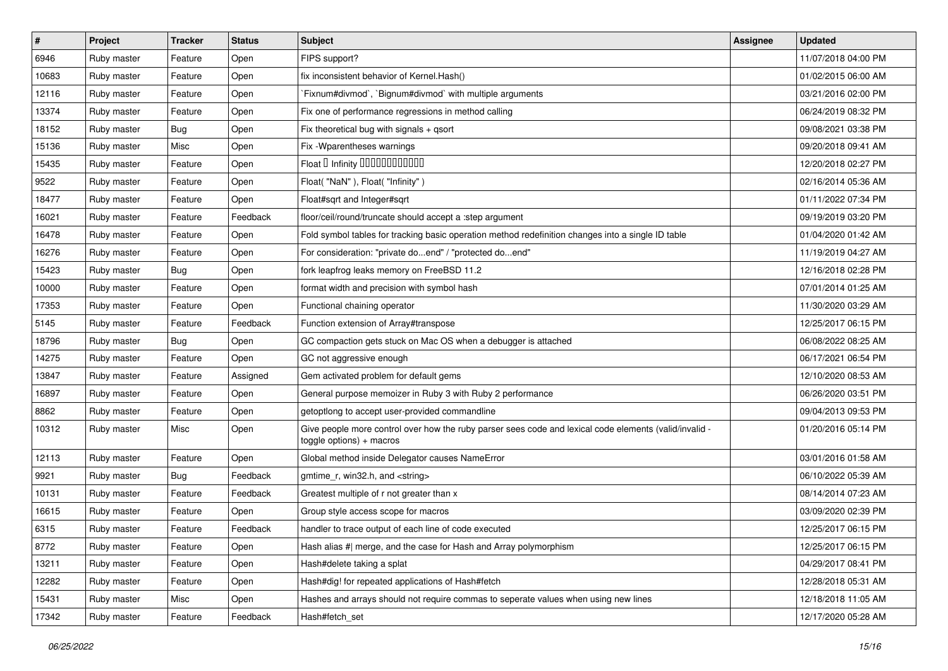| $\sharp$ | Project     | <b>Tracker</b> | <b>Status</b> | Subject                                                                                                                               | Assignee | <b>Updated</b>      |
|----------|-------------|----------------|---------------|---------------------------------------------------------------------------------------------------------------------------------------|----------|---------------------|
| 6946     | Ruby master | Feature        | Open          | FIPS support?                                                                                                                         |          | 11/07/2018 04:00 PM |
| 10683    | Ruby master | Feature        | Open          | fix inconsistent behavior of Kernel. Hash()                                                                                           |          | 01/02/2015 06:00 AM |
| 12116    | Ruby master | Feature        | Open          | Fixnum#divmod`, `Bignum#divmod` with multiple arguments                                                                               |          | 03/21/2016 02:00 PM |
| 13374    | Ruby master | Feature        | Open          | Fix one of performance regressions in method calling                                                                                  |          | 06/24/2019 08:32 PM |
| 18152    | Ruby master | <b>Bug</b>     | Open          | Fix theoretical bug with signals + qsort                                                                                              |          | 09/08/2021 03:38 PM |
| 15136    | Ruby master | Misc           | Open          | Fix - Wparentheses warnings                                                                                                           |          | 09/20/2018 09:41 AM |
| 15435    | Ruby master | Feature        | Open          | Float D Infinity 000000000000                                                                                                         |          | 12/20/2018 02:27 PM |
| 9522     | Ruby master | Feature        | Open          | Float("NaN"), Float("Infinity")                                                                                                       |          | 02/16/2014 05:36 AM |
| 18477    | Ruby master | Feature        | Open          | Float#sqrt and Integer#sqrt                                                                                                           |          | 01/11/2022 07:34 PM |
| 16021    | Ruby master | Feature        | Feedback      | floor/ceil/round/truncate should accept a :step argument                                                                              |          | 09/19/2019 03:20 PM |
| 16478    | Ruby master | Feature        | Open          | Fold symbol tables for tracking basic operation method redefinition changes into a single ID table                                    |          | 01/04/2020 01:42 AM |
| 16276    | Ruby master | Feature        | Open          | For consideration: "private doend" / "protected doend"                                                                                |          | 11/19/2019 04:27 AM |
| 15423    | Ruby master | <b>Bug</b>     | Open          | fork leapfrog leaks memory on FreeBSD 11.2                                                                                            |          | 12/16/2018 02:28 PM |
| 10000    | Ruby master | Feature        | Open          | format width and precision with symbol hash                                                                                           |          | 07/01/2014 01:25 AM |
| 17353    | Ruby master | Feature        | Open          | Functional chaining operator                                                                                                          |          | 11/30/2020 03:29 AM |
| 5145     | Ruby master | Feature        | Feedback      | Function extension of Array#transpose                                                                                                 |          | 12/25/2017 06:15 PM |
| 18796    | Ruby master | <b>Bug</b>     | Open          | GC compaction gets stuck on Mac OS when a debugger is attached                                                                        |          | 06/08/2022 08:25 AM |
| 14275    | Ruby master | Feature        | Open          | GC not aggressive enough                                                                                                              |          | 06/17/2021 06:54 PM |
| 13847    | Ruby master | Feature        | Assigned      | Gem activated problem for default gems                                                                                                |          | 12/10/2020 08:53 AM |
| 16897    | Ruby master | Feature        | Open          | General purpose memoizer in Ruby 3 with Ruby 2 performance                                                                            |          | 06/26/2020 03:51 PM |
| 8862     | Ruby master | Feature        | Open          | getoptlong to accept user-provided commandline                                                                                        |          | 09/04/2013 09:53 PM |
| 10312    | Ruby master | Misc           | Open          | Give people more control over how the ruby parser sees code and lexical code elements (valid/invalid -<br>$to ggle$ options) + macros |          | 01/20/2016 05:14 PM |
| 12113    | Ruby master | Feature        | Open          | Global method inside Delegator causes NameError                                                                                       |          | 03/01/2016 01:58 AM |
| 9921     | Ruby master | <b>Bug</b>     | Feedback      | gmtime_r, win32.h, and <string></string>                                                                                              |          | 06/10/2022 05:39 AM |
| 10131    | Ruby master | Feature        | Feedback      | Greatest multiple of r not greater than x                                                                                             |          | 08/14/2014 07:23 AM |
| 16615    | Ruby master | Feature        | Open          | Group style access scope for macros                                                                                                   |          | 03/09/2020 02:39 PM |
| 6315     | Ruby master | Feature        | Feedback      | handler to trace output of each line of code executed                                                                                 |          | 12/25/2017 06:15 PM |
| 8772     | Ruby master | Feature        | Open          | Hash alias #  merge, and the case for Hash and Array polymorphism                                                                     |          | 12/25/2017 06:15 PM |
| 13211    | Ruby master | Feature        | Open          | Hash#delete taking a splat                                                                                                            |          | 04/29/2017 08:41 PM |
| 12282    | Ruby master | Feature        | Open          | Hash#dig! for repeated applications of Hash#fetch                                                                                     |          | 12/28/2018 05:31 AM |
| 15431    | Ruby master | Misc           | Open          | Hashes and arrays should not require commas to seperate values when using new lines                                                   |          | 12/18/2018 11:05 AM |
| 17342    | Ruby master | Feature        | Feedback      | Hash#fetch set                                                                                                                        |          | 12/17/2020 05:28 AM |